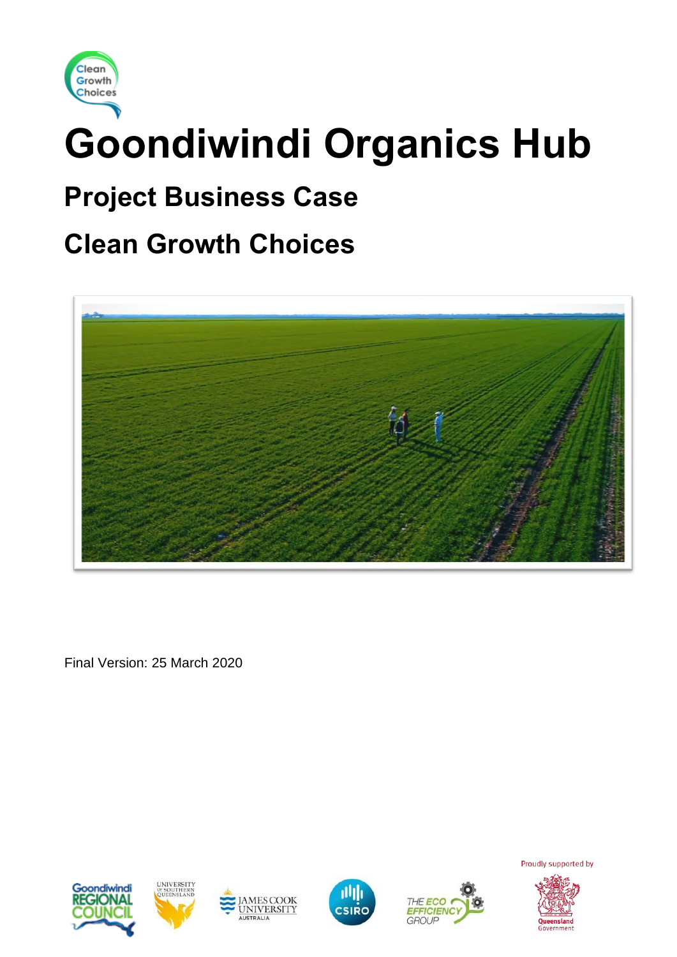

# **Goondiwindi Organics Hub**

# **Project Business Case**

# **Clean Growth Choices**



Final Version: 25 March 2020











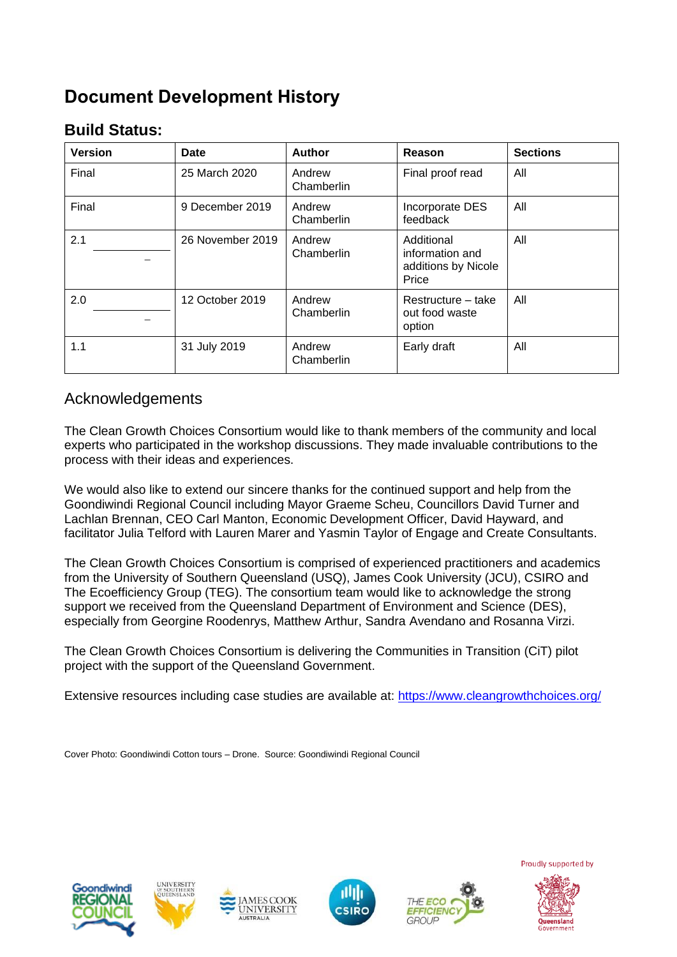# **Document Development History**

# **Build Status:**

| <b>Version</b> | Date             | <b>Author</b>        | Reason                                                        | <b>Sections</b> |
|----------------|------------------|----------------------|---------------------------------------------------------------|-----------------|
| Final          | 25 March 2020    | Andrew<br>Chamberlin | Final proof read                                              | All             |
| Final          | 9 December 2019  | Andrew<br>Chamberlin | Incorporate DES<br>feedback                                   | All             |
| 2.1            | 26 November 2019 | Andrew<br>Chamberlin | Additional<br>information and<br>additions by Nicole<br>Price | All             |
| 2.0            | 12 October 2019  | Andrew<br>Chamberlin | Restructure - take<br>out food waste<br>option                | All             |
| 1.1            | 31 July 2019     | Andrew<br>Chamberlin | Early draft                                                   | All             |

### Acknowledgements

The Clean Growth Choices Consortium would like to thank members of the community and local experts who participated in the workshop discussions. They made invaluable contributions to the process with their ideas and experiences.

We would also like to extend our sincere thanks for the continued support and help from the Goondiwindi Regional Council including Mayor Graeme Scheu, Councillors David Turner and Lachlan Brennan, CEO Carl Manton, Economic Development Officer, David Hayward, and facilitator Julia Telford with Lauren Marer and Yasmin Taylor of Engage and Create Consultants.

The Clean Growth Choices Consortium is comprised of experienced practitioners and academics from the University of Southern Queensland (USQ), James Cook University (JCU), CSIRO and The Ecoefficiency Group (TEG). The consortium team would like to acknowledge the strong support we received from the Queensland Department of Environment and Science (DES), especially from Georgine Roodenrys, Matthew Arthur, Sandra Avendano and Rosanna Virzi.

The Clean Growth Choices Consortium is delivering the Communities in Transition (CiT) pilot project with the support of the Queensland Government.

Extensive resources including case studies are available at:<https://www.cleangrowthchoices.org/>

Cover Photo: Goondiwindi Cotton tours – Drone. Source: Goondiwindi Regional Council











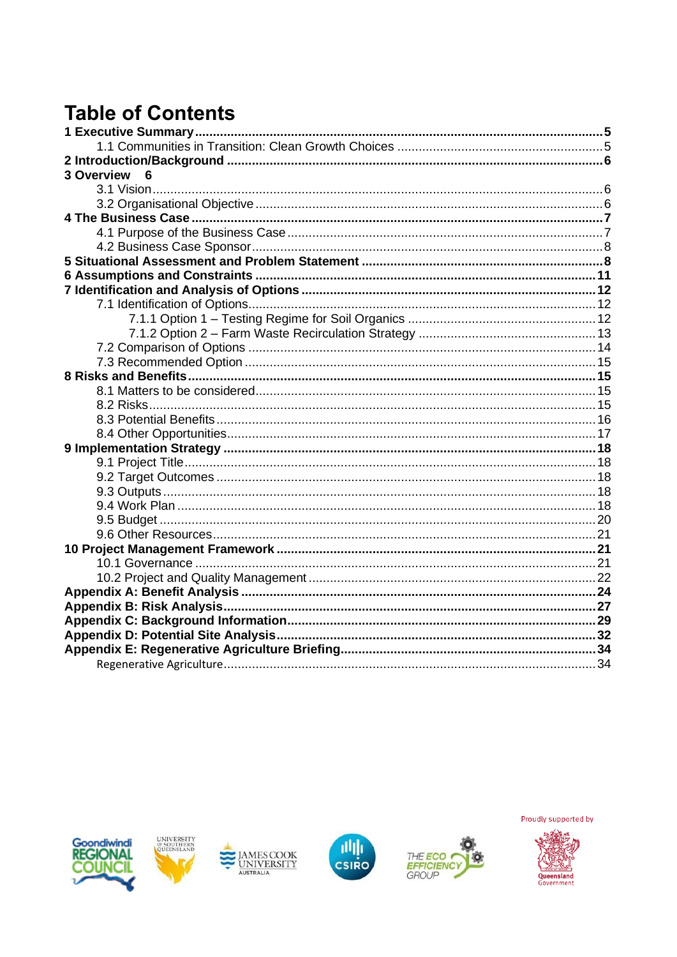# **Table of Contents**

| 3 Overview 6 |  |
|--------------|--|
|              |  |
|              |  |
|              |  |
|              |  |
|              |  |
|              |  |
|              |  |
|              |  |
|              |  |
|              |  |
|              |  |
|              |  |
|              |  |
|              |  |
|              |  |
|              |  |
|              |  |
|              |  |
|              |  |
|              |  |
|              |  |
|              |  |
|              |  |
|              |  |
|              |  |
|              |  |
|              |  |
|              |  |
|              |  |
|              |  |
|              |  |
|              |  |
|              |  |
|              |  |











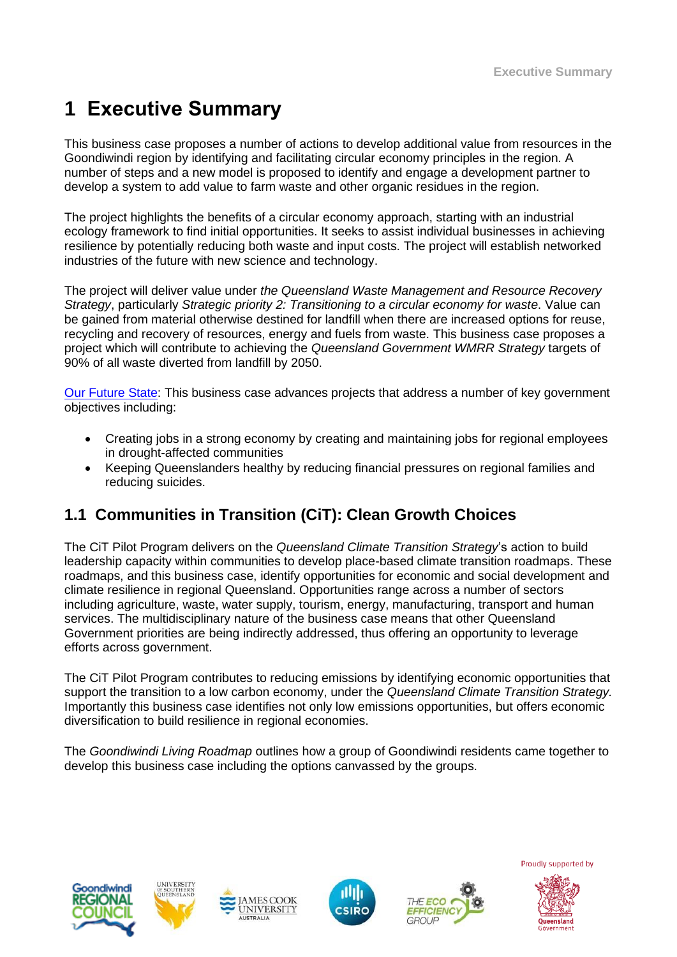# **1 Executive Summary**

This business case proposes a number of actions to develop additional value from resources in the Goondiwindi region by identifying and facilitating circular economy principles in the region. A number of steps and a new model is proposed to identify and engage a development partner to develop a system to add value to farm waste and other organic residues in the region.

The project highlights the benefits of a circular economy approach, starting with an industrial ecology framework to find initial opportunities. It seeks to assist individual businesses in achieving resilience by potentially reducing both waste and input costs. The project will establish networked industries of the future with new science and technology.

The project will deliver value under *the Queensland Waste Management and Resource Recovery Strategy*, particularly *Strategic priority 2: Transitioning to a circular economy for waste*. Value can be gained from material otherwise destined for landfill when there are increased options for reuse, recycling and recovery of resources, energy and fuels from waste. This business case proposes a project which will contribute to achieving the *Queensland Government WMRR Strategy* targets of 90% of all waste diverted from landfill by 2050.

[Our Future State:](https://www.ourfuture.qld.gov.au/gov-objectives.aspx) This business case advances projects that address a number of key government objectives including:

- Creating jobs in a strong economy by creating and maintaining jobs for regional employees in drought-affected communities
- Keeping Queenslanders healthy by reducing financial pressures on regional families and reducing suicides.

# **1.1 Communities in Transition (CiT): Clean Growth Choices**

The CiT Pilot Program delivers on the *Queensland Climate Transition Strategy*'s action to build leadership capacity within communities to develop place-based climate transition roadmaps. These roadmaps, and this business case, identify opportunities for economic and social development and climate resilience in regional Queensland. Opportunities range across a number of sectors including agriculture, waste, water supply, tourism, energy, manufacturing, transport and human services. The multidisciplinary nature of the business case means that other Queensland Government priorities are being indirectly addressed, thus offering an opportunity to leverage efforts across government.

The CiT Pilot Program contributes to reducing emissions by identifying economic opportunities that support the transition to a low carbon economy, under the *Queensland Climate Transition Strategy.* Importantly this business case identifies not only low emissions opportunities, but offers economic diversification to build resilience in regional economies.

The *Goondiwindi Living Roadmap* outlines how a group of Goondiwindi residents came together to develop this business case including the options canvassed by the groups.







**AMESCOOK** 

**UNIVERSITY** 



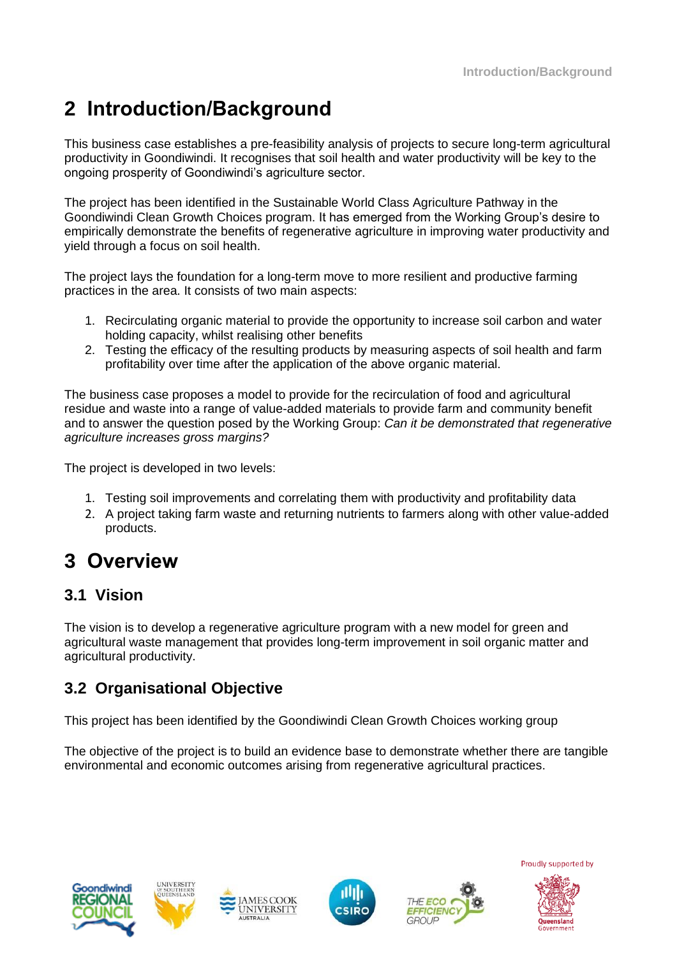# **2 Introduction/Background**

This business case establishes a pre-feasibility analysis of projects to secure long-term agricultural productivity in Goondiwindi. It recognises that soil health and water productivity will be key to the ongoing prosperity of Goondiwindi's agriculture sector.

The project has been identified in the Sustainable World Class Agriculture Pathway in the Goondiwindi Clean Growth Choices program. It has emerged from the Working Group's desire to empirically demonstrate the benefits of regenerative agriculture in improving water productivity and yield through a focus on soil health.

The project lays the foundation for a long-term move to more resilient and productive farming practices in the area. It consists of two main aspects:

- 1. Recirculating organic material to provide the opportunity to increase soil carbon and water holding capacity, whilst realising other benefits
- 2. Testing the efficacy of the resulting products by measuring aspects of soil health and farm profitability over time after the application of the above organic material.

The business case proposes a model to provide for the recirculation of food and agricultural residue and waste into a range of value-added materials to provide farm and community benefit and to answer the question posed by the Working Group: *Can it be demonstrated that regenerative agriculture increases gross margins?*

The project is developed in two levels:

- 1. Testing soil improvements and correlating them with productivity and profitability data
- 2. A project taking farm waste and returning nutrients to farmers along with other value-added products.

# **3 Overview**

### **3.1 Vision**

The vision is to develop a regenerative agriculture program with a new model for green and agricultural waste management that provides long-term improvement in soil organic matter and agricultural productivity.

# **3.2 Organisational Objective**

This project has been identified by the Goondiwindi Clean Growth Choices working group

The objective of the project is to build an evidence base to demonstrate whether there are tangible environmental and economic outcomes arising from regenerative agricultural practices.







**MESCOOK** 

**UNIVERSITY** 



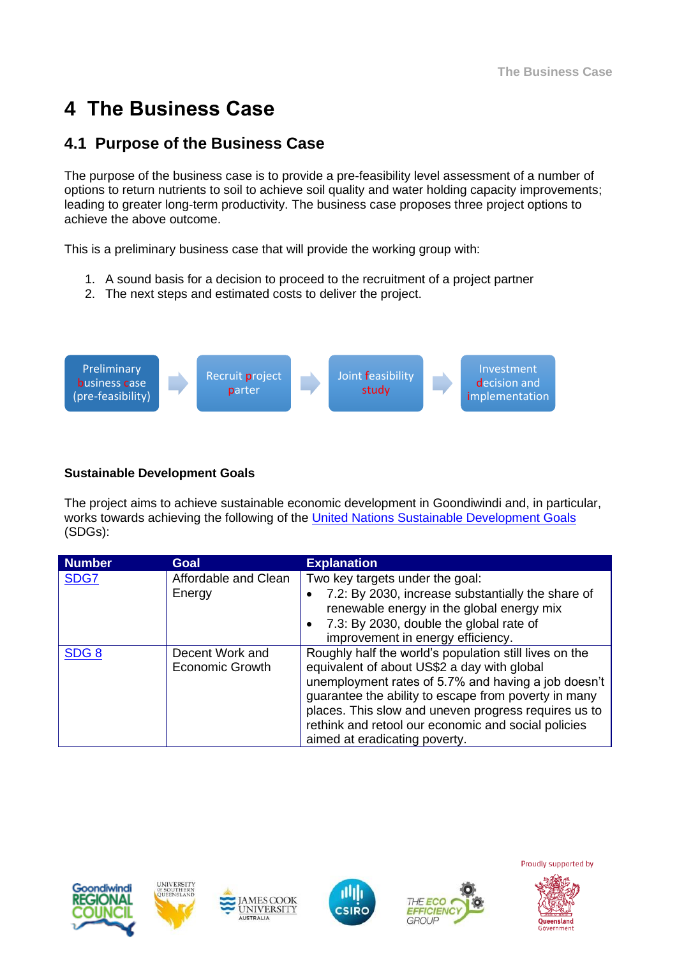# **4 The Business Case**

# **4.1 Purpose of the Business Case**

The purpose of the business case is to provide a pre-feasibility level assessment of a number of options to return nutrients to soil to achieve soil quality and water holding capacity improvements; leading to greater long-term productivity. The business case proposes three project options to achieve the above outcome.

This is a preliminary business case that will provide the working group with:

- 1. A sound basis for a decision to proceed to the recruitment of a project partner
- 2. The next steps and estimated costs to deliver the project.



### **Sustainable Development Goals**

The project aims to achieve sustainable economic development in Goondiwindi and, in particular, works towards achieving the following of the [United Nations Sustainable Development Goals](https://sustainabledevelopment.un.org/) (SDGs):

| <b>Number</b>    | Goal                                      | <b>Explanation</b>                                                                                                                                                                                                                                                                                                                                                   |
|------------------|-------------------------------------------|----------------------------------------------------------------------------------------------------------------------------------------------------------------------------------------------------------------------------------------------------------------------------------------------------------------------------------------------------------------------|
| SDG7             | Affordable and Clean<br>Energy            | Two key targets under the goal:<br>7.2: By 2030, increase substantially the share of<br>renewable energy in the global energy mix<br>7.3: By 2030, double the global rate of<br>improvement in energy efficiency.                                                                                                                                                    |
| SDG <sub>8</sub> | Decent Work and<br><b>Economic Growth</b> | Roughly half the world's population still lives on the<br>equivalent of about US\$2 a day with global<br>unemployment rates of 5.7% and having a job doesn't<br>guarantee the ability to escape from poverty in many<br>places. This slow and uneven progress requires us to<br>rethink and retool our economic and social policies<br>aimed at eradicating poverty. |











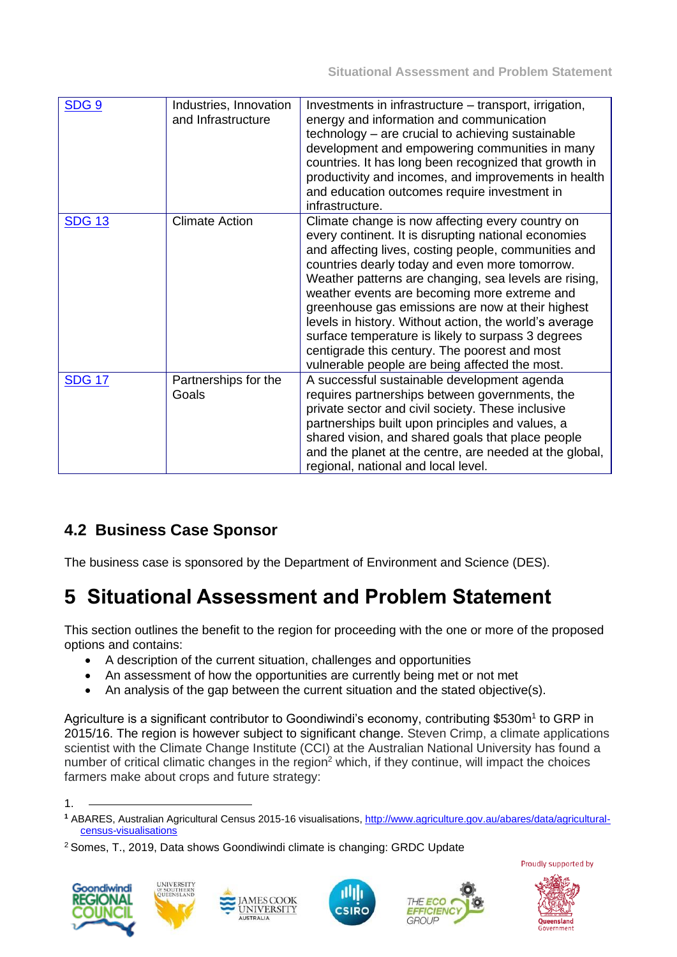| SDG <sub>9</sub> | Industries, Innovation<br>and Infrastructure | Investments in infrastructure – transport, irrigation,<br>energy and information and communication<br>technology – are crucial to achieving sustainable<br>development and empowering communities in many<br>countries. It has long been recognized that growth in<br>productivity and incomes, and improvements in health<br>and education outcomes require investment in<br>infrastructure.                                                                                                                                                                                                       |
|------------------|----------------------------------------------|-----------------------------------------------------------------------------------------------------------------------------------------------------------------------------------------------------------------------------------------------------------------------------------------------------------------------------------------------------------------------------------------------------------------------------------------------------------------------------------------------------------------------------------------------------------------------------------------------------|
| <b>SDG 13</b>    | <b>Climate Action</b>                        | Climate change is now affecting every country on<br>every continent. It is disrupting national economies<br>and affecting lives, costing people, communities and<br>countries dearly today and even more tomorrow.<br>Weather patterns are changing, sea levels are rising,<br>weather events are becoming more extreme and<br>greenhouse gas emissions are now at their highest<br>levels in history. Without action, the world's average<br>surface temperature is likely to surpass 3 degrees<br>centigrade this century. The poorest and most<br>vulnerable people are being affected the most. |
| <b>SDG 17</b>    | Partnerships for the<br>Goals                | A successful sustainable development agenda<br>requires partnerships between governments, the<br>private sector and civil society. These inclusive<br>partnerships built upon principles and values, a<br>shared vision, and shared goals that place people<br>and the planet at the centre, are needed at the global,<br>regional, national and local level.                                                                                                                                                                                                                                       |

# **4.2 Business Case Sponsor**

The business case is sponsored by the Department of Environment and Science (DES).

# **5 Situational Assessment and Problem Statement**

This section outlines the benefit to the region for proceeding with the one or more of the proposed options and contains:

- A description of the current situation, challenges and opportunities
- An assessment of how the opportunities are currently being met or not met
- An analysis of the gap between the current situation and the stated objective(s).

Agriculture is a significant contributor to Goondiwindi's economy, contributing \$530m<sup>1</sup> to GRP in 2015/16. The region is however subject to significant change. Steven Crimp, a climate applications scientist with the Climate Change Institute (CCI) at the Australian National University has found a number of critical climatic changes in the region<sup>2</sup> which, if they continue, will impact the choices farmers make about crops and future strategy:

<sup>2</sup> Somes, T., 2019, Data shows Goondiwindi climate is changing: GRDC Update













<sup>1.</sup>

**<sup>1</sup>** ABARES, Australian Agricultural Census 2015-16 visualisations, [http://www.agriculture.gov.au/abares/data/agricultural](http://www.agriculture.gov.au/abares/data/agricultural-census-visualisations)[census-visualisations](http://www.agriculture.gov.au/abares/data/agricultural-census-visualisations)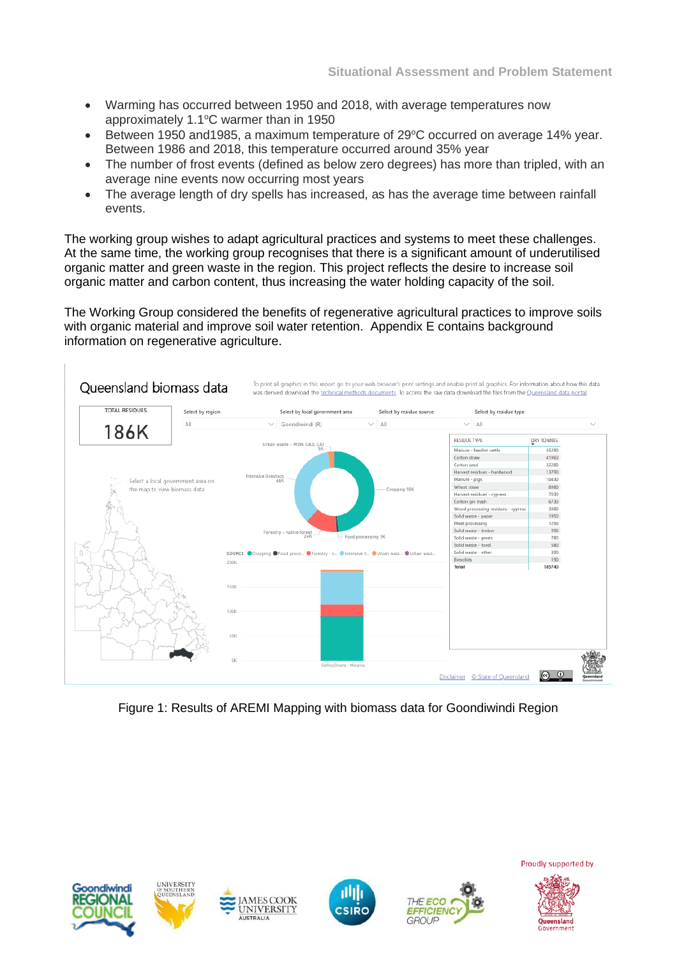- Warming has occurred between 1950 and 2018, with average temperatures now approximately  $1.1^{\circ}$ C warmer than in 1950
- Between 1950 and 1985, a maximum temperature of  $29^{\circ}$ C occurred on average 14% year. Between 1986 and 2018, this temperature occurred around 35% year
- The number of frost events (defined as below zero degrees) has more than tripled, with an average nine events now occurring most years
- The average length of dry spells has increased, as has the average time between rainfall events.

The working group wishes to adapt agricultural practices and systems to meet these challenges. At the same time, the working group recognises that there is a significant amount of underutilised organic matter and green waste in the region. This project reflects the desire to increase soil organic matter and carbon content, thus increasing the water holding capacity of the soil.

The Working Group considered the benefits of regenerative agricultural practices to improve soils with organic material and improve soil water retention. Appendix E contains background information on regenerative agriculture.



Figure 1: Results of AREMI Mapping with biomass data for Goondiwindi Region











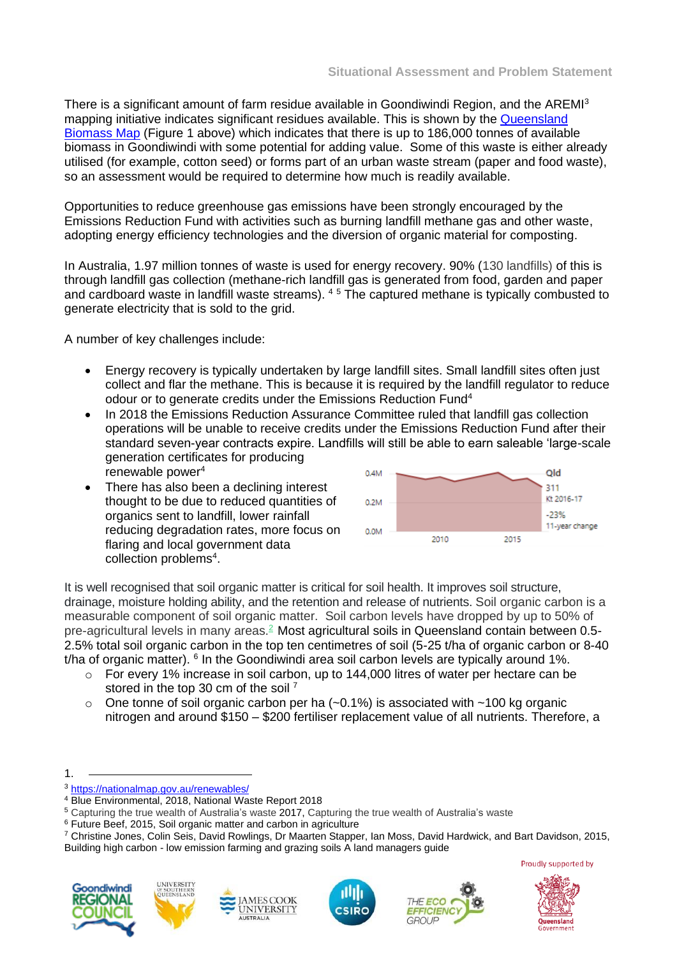There is a significant amount of farm residue available in Goondiwindi Region, and the AREMI<sup>3</sup> mapping initiative indicates significant residues available. This is shown by the [Queensland](https://app.powerbi.com/view?r=eyJrIjoiYTU2ZTQ4YzMtYzI0My00MzdjLWI5NmMtMjMxYTc4N2I1OTA2IiwidCI6ImQxNmRlNTMwLTk0ZTctNDE1OC1iN2UyLTZlZTIyMGFmNjI4ZCJ9)  [Biomass Map](https://app.powerbi.com/view?r=eyJrIjoiYTU2ZTQ4YzMtYzI0My00MzdjLWI5NmMtMjMxYTc4N2I1OTA2IiwidCI6ImQxNmRlNTMwLTk0ZTctNDE1OC1iN2UyLTZlZTIyMGFmNjI4ZCJ9) (Figure 1 above) which indicates that there is up to 186,000 tonnes of available biomass in Goondiwindi with some potential for adding value. Some of this waste is either already utilised (for example, cotton seed) or forms part of an urban waste stream (paper and food waste), so an assessment would be required to determine how much is readily available.

Opportunities to reduce greenhouse gas emissions have been strongly encouraged by the Emissions Reduction Fund with activities such as burning landfill methane gas and other waste, adopting energy efficiency technologies and the diversion of organic material for composting.

In Australia, 1.97 million tonnes of waste is used for energy recovery. 90% (130 landfills) of this is through landfill gas collection (methane-rich landfill gas is generated from food, garden and paper and cardboard waste in landfill waste streams). <sup>4</sup> <sup>5</sup> The captured methane is typically combusted to generate electricity that is sold to the grid.

A number of key challenges include:

- Energy recovery is typically undertaken by large landfill sites. Small landfill sites often just collect and flar the methane. This is because it is required by the landfill regulator to reduce o[d](#page-9-0)our or to generate credits under the Emissions Reduction Fund<sup>4</sup>
- In 2018 the Emissions Reduction Assurance Committee ruled that landfill gas collection operations will be unable to receive credits under the Emissions Reduction Fund after their standard seven-year contracts expire. Landfills will still be able to earn saleable 'large-scale generation certificates for producing renewable powe[r](#page-9-0)<sup>4</sup>
- There has also been a declining interest thought to be due to reduced quantities of organics sent to landfill, lower rainfall reducing degradation rates, more focus on flaring and local government data collection problems<sup>[4](#page-9-0)</sup>.

<span id="page-9-0"></span>

It is well recognised that soil organic matter is critical for soil health. It improves soil structure, drainage, moisture holding ability, and the retention and release of nutrients. Soil organic carbon is a measurable component of soil organic matter. Soil carbon levels have dropped by up to 50% of pre-agricultural levels in many areas.[2](https://www.futurefarmers.com.au/young-carbon-farmers/carbon-farming/importance-of-carbon-in-the-soil#r2) Most agricultural soils in Queensland contain between 0.5- 2.5% total soil organic carbon in the top ten centimetres of soil (5-25 t/ha of organic carbon or 8-40 t/ha of organic matter). <sup>6</sup> In the Goondiwindi area soil carbon levels are typically around 1%.

- o For every 1% increase in soil carbon, up to 144,000 litres of water per hectare can be stored in the top 30 cm of the soil<sup>7</sup>
- $\circ$  One tonne of soil organic carbon per ha (~0.1%) is associated with ~100 kg organic nitrogen and around \$150 – \$200 fertiliser replacement value of all nutrients. Therefore, a

CSIRO













<sup>1.</sup>

<sup>3</sup> <https://nationalmap.gov.au/renewables/>

<sup>4</sup> Blue Environmental, 2018, National Waste Report 2018

<sup>5</sup> Capturing the true wealth of Australia's waste 2017, Capturing the true wealth of Australia's waste

<sup>&</sup>lt;sup>6</sup> Future Beef, 2015, Soil organic matter and carbon in agriculture

<sup>7</sup> Christine Jones, Colin Seis, David Rowlings, Dr Maarten Stapper, Ian Moss, David Hardwick, and Bart Davidson, 2015, Building high carbon - low emission farming and grazing soils A land managers guide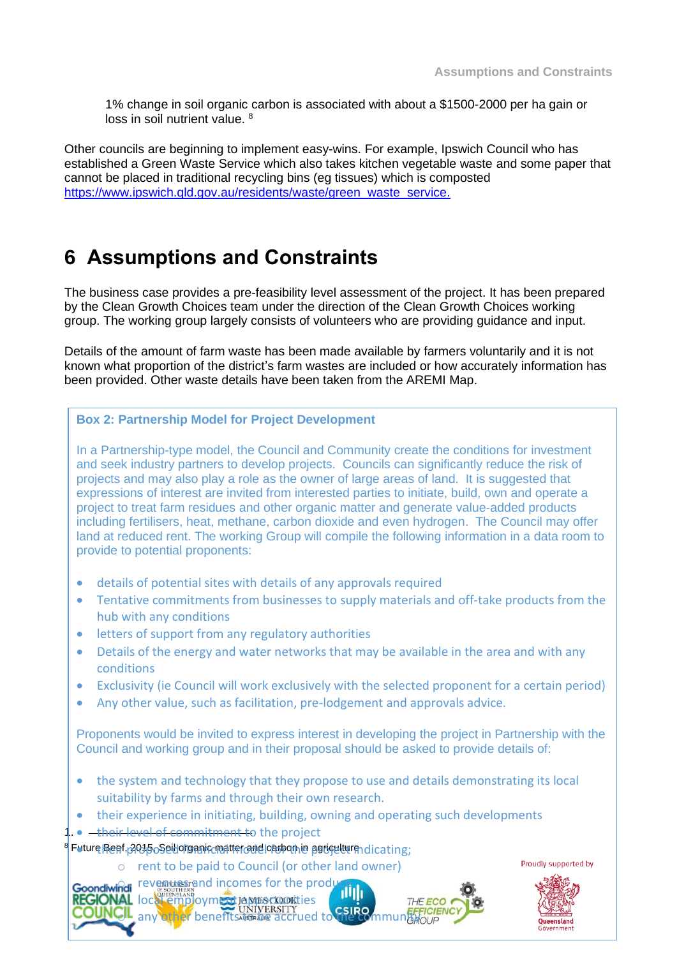1% change in soil organic carbon is associated with about a \$1500-2000 per ha gain or loss in soil nutrient value. <sup>8</sup>

Other councils are beginning to implement easy-wins. For example, Ipswich Council who has established a Green Waste Service which also takes kitchen vegetable waste and some paper that cannot be placed in traditional recycling bins (eg tissues) which is composted [https://www.ipswich.qld.gov.au/residents/waste/green\\_waste\\_service.](https://www.ipswich.qld.gov.au/residents/waste/green_waste_service)

# **6 Assumptions and Constraints**

The business case provides a pre-feasibility level assessment of the project. It has been prepared by the Clean Growth Choices team under the direction of the Clean Growth Choices working group. The working group largely consists of volunteers who are providing guidance and input.

Details of the amount of farm waste has been made available by farmers voluntarily and it is not known what proportion of the district's farm wastes are included or how accurately information has been provided. Other waste details have been taken from the AREMI Map.

#### **Box 2: Partnership Model for Project Development**

In a Partnership-type model, the Council and Community create the conditions for investment and seek industry partners to develop projects. Councils can significantly reduce the risk of projects and may also play a role as the owner of large areas of land. It is suggested that expressions of interest are invited from interested parties to initiate, build, own and operate a project to treat farm residues and other organic matter and generate value-added products including fertilisers, heat, methane, carbon dioxide and even hydrogen. The Council may offer land at reduced rent. The working Group will compile the following information in a data room to provide to potential proponents:

- details of potential sites with details of any approvals required
- Tentative commitments from businesses to supply materials and off-take products from the hub with any conditions
- letters of support from any regulatory authorities
- Details of the energy and water networks that may be available in the area and with any conditions
- Exclusivity (ie Council will work exclusively with the selected proponent for a certain period)
- Any other value, such as facilitation, pre-lodgement and approvals advice.

Proponents would be invited to express interest in developing the project in Partnership with the Council and working group and in their proposal should be asked to provide details of:

THE ECO

- the system and technology that they propose to use and details demonstrating its local suitability by farms and through their own research.
- their experience in initiating, building, owning and operating such developments
- 1 . <del>their level of commitment t</del>o the project

<sup>a</sup> Future Benf,<sub>1</sub>2015 oSeil organic matter and loaspon in agriculture dicating;

AL local employment Jonforcookties

o rent to be paid to Council (or other land owner) **Goondiwindi** revenues and incomes for the produ

 $\mathbf{C}^{\mathsf{L}}$  any other benefits to be accrued to the community

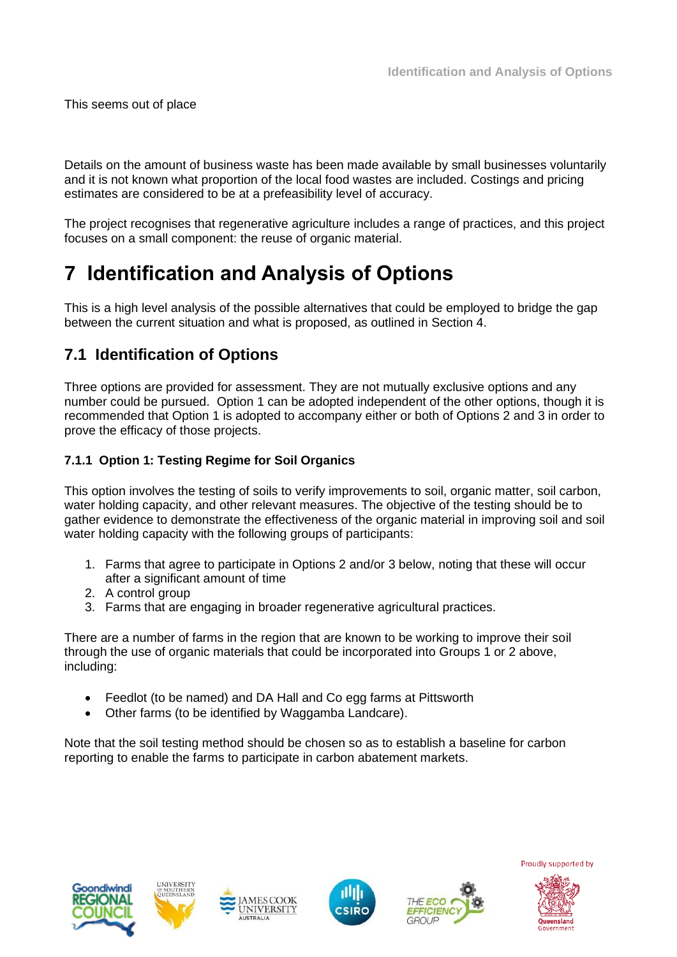This seems out of place

Details on the amount of business waste has been made available by small businesses voluntarily and it is not known what proportion of the local food wastes are included. Costings and pricing estimates are considered to be at a prefeasibility level of accuracy.

The project recognises that regenerative agriculture includes a range of practices, and this project focuses on a small component: the reuse of organic material.

# **7 Identification and Analysis of Options**

This is a high level analysis of the possible alternatives that could be employed to bridge the gap between the current situation and what is proposed, as outlined in Section 4.

# **7.1 Identification of Options**

Three options are provided for assessment. They are not mutually exclusive options and any number could be pursued. Option 1 can be adopted independent of the other options, though it is recommended that Option 1 is adopted to accompany either or both of Options 2 and 3 in order to prove the efficacy of those projects.

### **7.1.1 Option 1: Testing Regime for Soil Organics**

This option involves the testing of soils to verify improvements to soil, organic matter, soil carbon, water holding capacity, and other relevant measures. The objective of the testing should be to gather evidence to demonstrate the effectiveness of the organic material in improving soil and soil water holding capacity with the following groups of participants:

- 1. Farms that agree to participate in Options 2 and/or 3 below, noting that these will occur after a significant amount of time
- 2. A control group
- 3. Farms that are engaging in broader regenerative agricultural practices.

There are a number of farms in the region that are known to be working to improve their soil through the use of organic materials that could be incorporated into Groups 1 or 2 above, including:

- Feedlot (to be named) and DA Hall and Co egg farms at Pittsworth
- Other farms (to be identified by Waggamba Landcare).

Note that the soil testing method should be chosen so as to establish a baseline for carbon reporting to enable the farms to participate in carbon abatement markets.











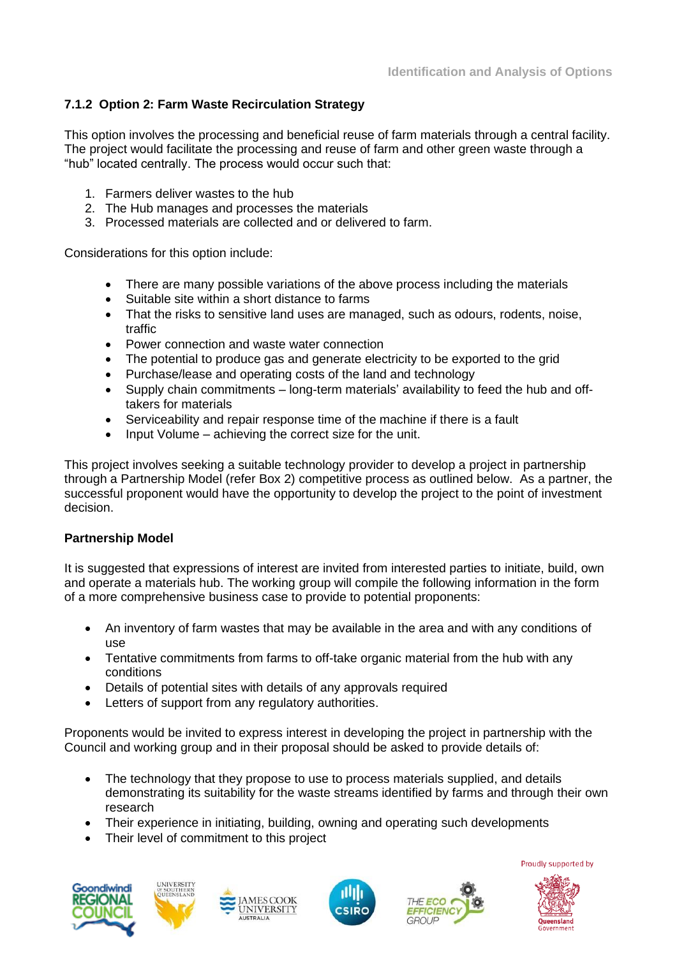### **7.1.2 Option 2: Farm Waste Recirculation Strategy**

This option involves the processing and beneficial reuse of farm materials through a central facility. The project would facilitate the processing and reuse of farm and other green waste through a "hub" located centrally. The process would occur such that:

- 1. Farmers deliver wastes to the hub
- 2. The Hub manages and processes the materials
- 3. Processed materials are collected and or delivered to farm.

Considerations for this option include:

- There are many possible variations of the above process including the materials
- Suitable site within a short distance to farms
- That the risks to sensitive land uses are managed, such as odours, rodents, noise, traffic
- Power connection and waste water connection
- The potential to produce gas and generate electricity to be exported to the grid
- Purchase/lease and operating costs of the land and technology
- Supply chain commitments long-term materials' availability to feed the hub and offtakers for materials
- Serviceability and repair response time of the machine if there is a fault
- Input Volume achieving the correct size for the unit.

This project involves seeking a suitable technology provider to develop a project in partnership through a Partnership Model (refer Box 2) competitive process as outlined below. As a partner, the successful proponent would have the opportunity to develop the project to the point of investment decision.

#### **Partnership Model**

It is suggested that expressions of interest are invited from interested parties to initiate, build, own and operate a materials hub. The working group will compile the following information in the form of a more comprehensive business case to provide to potential proponents:

- An inventory of farm wastes that may be available in the area and with any conditions of use
- Tentative commitments from farms to off-take organic material from the hub with any conditions
- Details of potential sites with details of any approvals required
- Letters of support from any regulatory authorities.

Proponents would be invited to express interest in developing the project in partnership with the Council and working group and in their proposal should be asked to provide details of:

- The technology that they propose to use to process materials supplied, and details demonstrating its suitability for the waste streams identified by farms and through their own research
- Their experience in initiating, building, owning and operating such developments
- Their level of commitment to this project











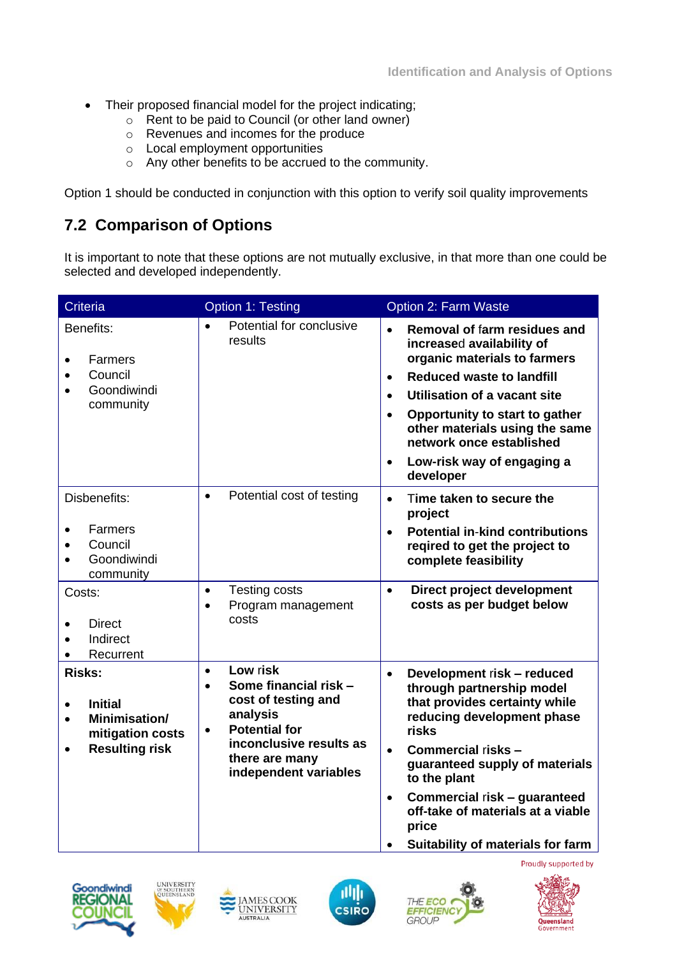- Their proposed financial model for the project indicating;
	- o Rent to be paid to Council (or other land owner)
	- o Revenues and incomes for the produce
	- o Local employment opportunities
	- o Any other benefits to be accrued to the community.

Option 1 should be conducted in conjunction with this option to verify soil quality improvements

# **7.2 Comparison of Options**

It is important to note that these options are not mutually exclusive, in that more than one could be selected and developed independently.

| <b>Criteria</b>                                                                                            | <b>Option 1: Testing</b>                                                                                                                                                                                  | <b>Option 2: Farm Waste</b>                                                                                                                                                                                                                                                                                                                                               |
|------------------------------------------------------------------------------------------------------------|-----------------------------------------------------------------------------------------------------------------------------------------------------------------------------------------------------------|---------------------------------------------------------------------------------------------------------------------------------------------------------------------------------------------------------------------------------------------------------------------------------------------------------------------------------------------------------------------------|
| Benefits:<br>Farmers<br>Council<br>Goondiwindi<br>community                                                | Potential for conclusive<br>$\bullet$<br>results                                                                                                                                                          | Removal of farm residues and<br>$\bullet$<br>increased availability of<br>organic materials to farmers<br><b>Reduced waste to landfill</b><br>$\bullet$<br>Utilisation of a vacant site<br>$\bullet$<br>Opportunity to start to gather<br>$\bullet$<br>other materials using the same<br>network once established<br>Low-risk way of engaging a<br>$\bullet$<br>developer |
| Disbenefits:<br>Farmers<br>Council<br>Goondiwindi<br>community                                             | Potential cost of testing<br>$\bullet$                                                                                                                                                                    | Time taken to secure the<br>$\bullet$<br>project<br><b>Potential in-kind contributions</b><br>$\bullet$<br>reqired to get the project to<br>complete feasibility                                                                                                                                                                                                          |
| Costs:<br><b>Direct</b><br>Indirect<br>Recurrent                                                           | <b>Testing costs</b><br>$\bullet$<br>Program management<br>$\bullet$<br>costs                                                                                                                             | Direct project development<br>$\bullet$<br>costs as per budget below                                                                                                                                                                                                                                                                                                      |
| <b>Risks:</b><br><b>Initial</b><br>$\bullet$<br>Minimisation/<br>mitigation costs<br><b>Resulting risk</b> | Low risk<br>$\bullet$<br>Some financial risk -<br>$\bullet$<br>cost of testing and<br>analysis<br><b>Potential for</b><br>$\bullet$<br>inconclusive results as<br>there are many<br>independent variables | Development risk - reduced<br>$\bullet$<br>through partnership model<br>that provides certainty while<br>reducing development phase<br>risks<br>Commercial risks -<br>$\bullet$<br>guaranteed supply of materials<br>to the plant<br>Commercial risk - guaranteed<br>$\bullet$<br>off-take of materials at a viable<br>price<br>Suitability of materials for farm         |













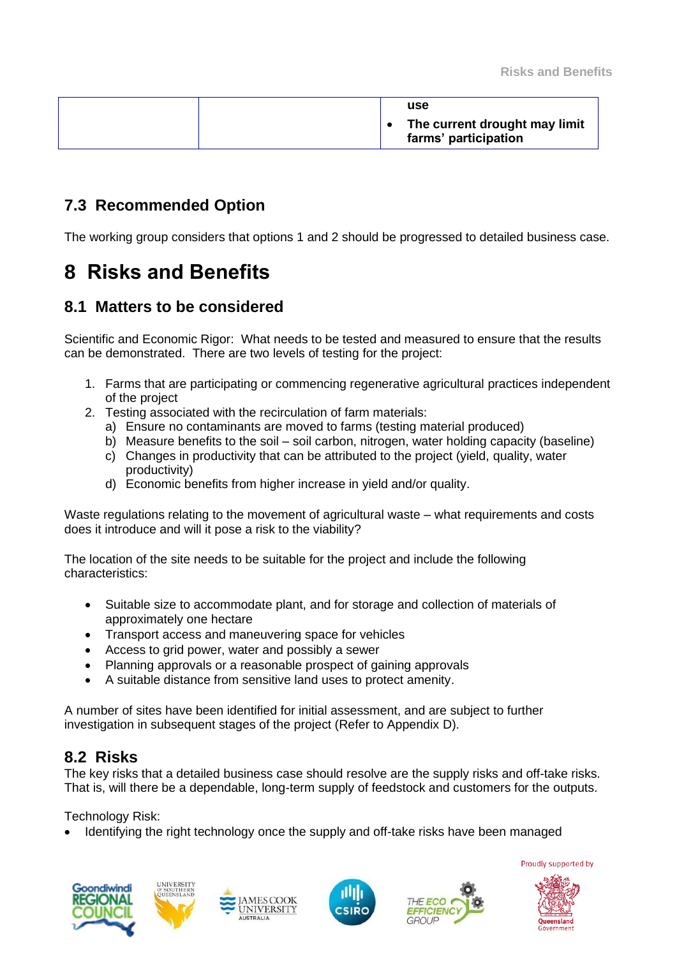|  | use<br>The current drought may limit |
|--|--------------------------------------|
|  | farms' participation                 |

### **7.3 Recommended Option**

The working group considers that options 1 and 2 should be progressed to detailed business case.

# **8 Risks and Benefits**

### **8.1 Matters to be considered**

Scientific and Economic Rigor: What needs to be tested and measured to ensure that the results can be demonstrated. There are two levels of testing for the project:

- 1. Farms that are participating or commencing regenerative agricultural practices independent of the project
- 2. Testing associated with the recirculation of farm materials:
	- a) Ensure no contaminants are moved to farms (testing material produced)
	- b) Measure benefits to the soil soil carbon, nitrogen, water holding capacity (baseline)
	- c) Changes in productivity that can be attributed to the project (yield, quality, water productivity)
	- d) Economic benefits from higher increase in yield and/or quality.

Waste regulations relating to the movement of agricultural waste – what requirements and costs does it introduce and will it pose a risk to the viability?

The location of the site needs to be suitable for the project and include the following characteristics:

- Suitable size to accommodate plant, and for storage and collection of materials of approximately one hectare
- Transport access and maneuvering space for vehicles
- Access to grid power, water and possibly a sewer
- Planning approvals or a reasonable prospect of gaining approvals
- A suitable distance from sensitive land uses to protect amenity.

A number of sites have been identified for initial assessment, and are subject to further investigation in subsequent stages of the project (Refer to Appendix D).

### **8.2 Risks**

The key risks that a detailed business case should resolve are the supply risks and off-take risks. That is, will there be a dependable, long-term supply of feedstock and customers for the outputs.

Technology Risk:

• Identifying the right technology once the supply and off-take risks have been managed











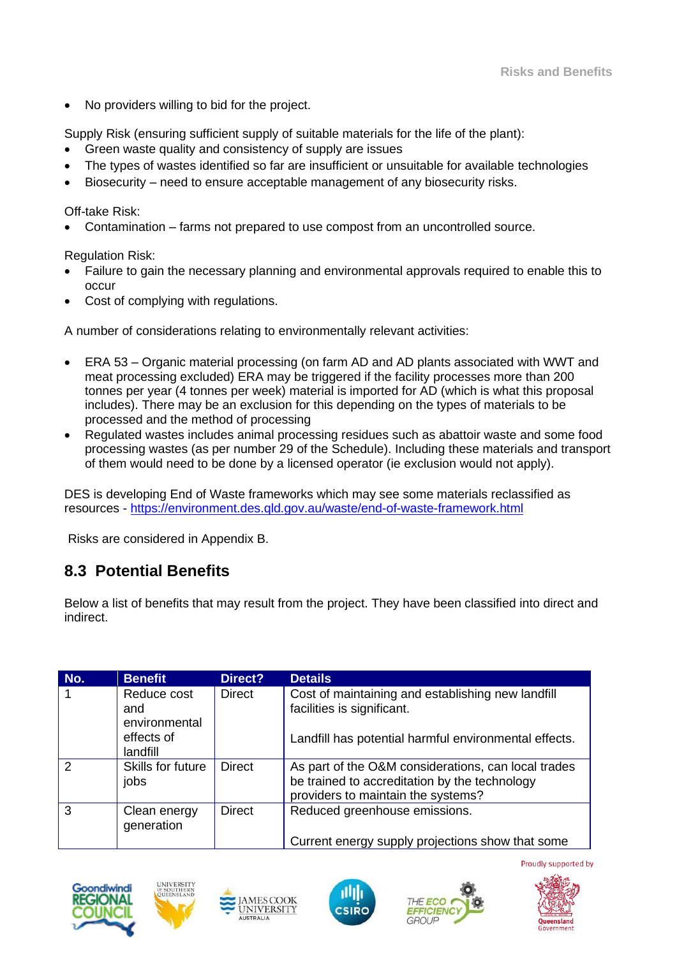• No providers willing to bid for the project.

Supply Risk (ensuring sufficient supply of suitable materials for the life of the plant):

- Green waste quality and consistency of supply are issues
- The types of wastes identified so far are insufficient or unsuitable for available technologies
- Biosecurity need to ensure acceptable management of any biosecurity risks.

#### Off-take Risk:

• Contamination – farms not prepared to use compost from an uncontrolled source.

Regulation Risk:

- Failure to gain the necessary planning and environmental approvals required to enable this to occur
- Cost of complying with regulations.

A number of considerations relating to environmentally relevant activities:

- ERA 53 Organic material processing (on farm AD and AD plants associated with WWT and meat processing excluded) ERA may be triggered if the facility processes more than 200 tonnes per year (4 tonnes per week) material is imported for AD (which is what this proposal includes). There may be an exclusion for this depending on the types of materials to be processed and the method of processing
- Regulated wastes includes animal processing residues such as abattoir waste and some food processing wastes (as per number 29 of the Schedule). Including these materials and transport of them would need to be done by a licensed operator (ie exclusion would not apply).

DES is developing End of Waste frameworks which may see some materials reclassified as resources - <https://environment.des.qld.gov.au/waste/end-of-waste-framework.html>

Risks are considered in Appendix B.

# **8.3 Potential Benefits**

Below a list of benefits that may result from the project. They have been classified into direct and indirect.

| No.           | <b>Benefit</b>                      | Direct?       | <b>Details</b>                                                                                                                             |
|---------------|-------------------------------------|---------------|--------------------------------------------------------------------------------------------------------------------------------------------|
|               | Reduce cost<br>and<br>environmental | <b>Direct</b> | Cost of maintaining and establishing new landfill<br>facilities is significant.                                                            |
|               | effects of<br>landfill              |               | Landfill has potential harmful environmental effects.                                                                                      |
| $\mathcal{P}$ | Skills for future<br>jobs           | <b>Direct</b> | As part of the O&M considerations, can local trades<br>be trained to accreditation by the technology<br>providers to maintain the systems? |
| 3             | Clean energy<br>generation          | <b>Direct</b> | Reduced greenhouse emissions.<br>Current energy supply projections show that some                                                          |







**MESCOOK UNIVERSITY** 





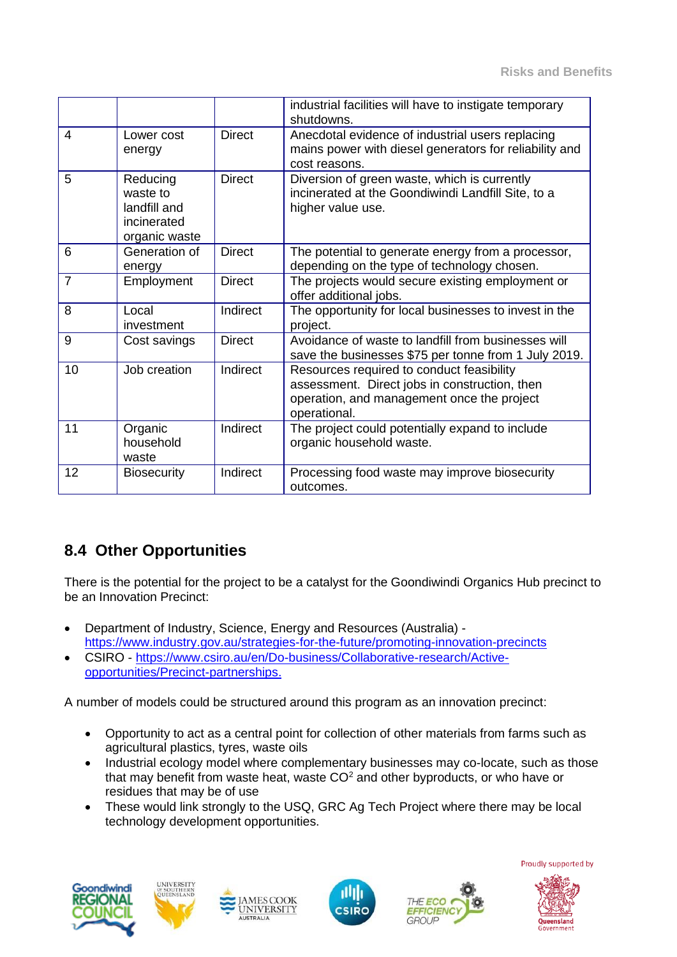|                |                                                                      |               | industrial facilities will have to instigate temporary<br>shutdowns.                                                                                     |
|----------------|----------------------------------------------------------------------|---------------|----------------------------------------------------------------------------------------------------------------------------------------------------------|
| 4              | Lower cost<br>energy                                                 | <b>Direct</b> | Anecdotal evidence of industrial users replacing<br>mains power with diesel generators for reliability and<br>cost reasons.                              |
| 5              | Reducing<br>waste to<br>landfill and<br>incinerated<br>organic waste | <b>Direct</b> | Diversion of green waste, which is currently<br>incinerated at the Goondiwindi Landfill Site, to a<br>higher value use.                                  |
| 6              | Generation of<br>energy                                              | <b>Direct</b> | The potential to generate energy from a processor,<br>depending on the type of technology chosen.                                                        |
| $\overline{7}$ | Employment                                                           | <b>Direct</b> | The projects would secure existing employment or<br>offer additional jobs.                                                                               |
| 8              | Local<br>investment                                                  | Indirect      | The opportunity for local businesses to invest in the<br>project.                                                                                        |
| 9              | Cost savings                                                         | <b>Direct</b> | Avoidance of waste to landfill from businesses will<br>save the businesses \$75 per tonne from 1 July 2019.                                              |
| 10             | Job creation                                                         | Indirect      | Resources required to conduct feasibility<br>assessment. Direct jobs in construction, then<br>operation, and management once the project<br>operational. |
| 11             | Organic<br>household<br>waste                                        | Indirect      | The project could potentially expand to include<br>organic household waste.                                                                              |
| 12             | <b>Biosecurity</b>                                                   | Indirect      | Processing food waste may improve biosecurity<br>outcomes.                                                                                               |

# **8.4 Other Opportunities**

There is the potential for the project to be a catalyst for the Goondiwindi Organics Hub precinct to be an Innovation Precinct:

- Department of Industry, Science, Energy and Resources (Australia) <https://www.industry.gov.au/strategies-for-the-future/promoting-innovation-precincts>
- CSIRO [https://www.csiro.au/en/Do-business/Collaborative-research/Active](https://www.csiro.au/en/Do-business/Collaborative-research/Active-opportunities/Precinct-partnerships)[opportunities/Precinct-partnerships.](https://www.csiro.au/en/Do-business/Collaborative-research/Active-opportunities/Precinct-partnerships)

A number of models could be structured around this program as an innovation precinct:

- Opportunity to act as a central point for collection of other materials from farms such as agricultural plastics, tyres, waste oils
- Industrial ecology model where complementary businesses may co-locate, such as those that may benefit from waste heat, waste  $CO<sup>2</sup>$  and other byproducts, or who have or residues that may be of use
- These would link strongly to the USQ, GRC Ag Tech Project where there may be local technology development opportunities.









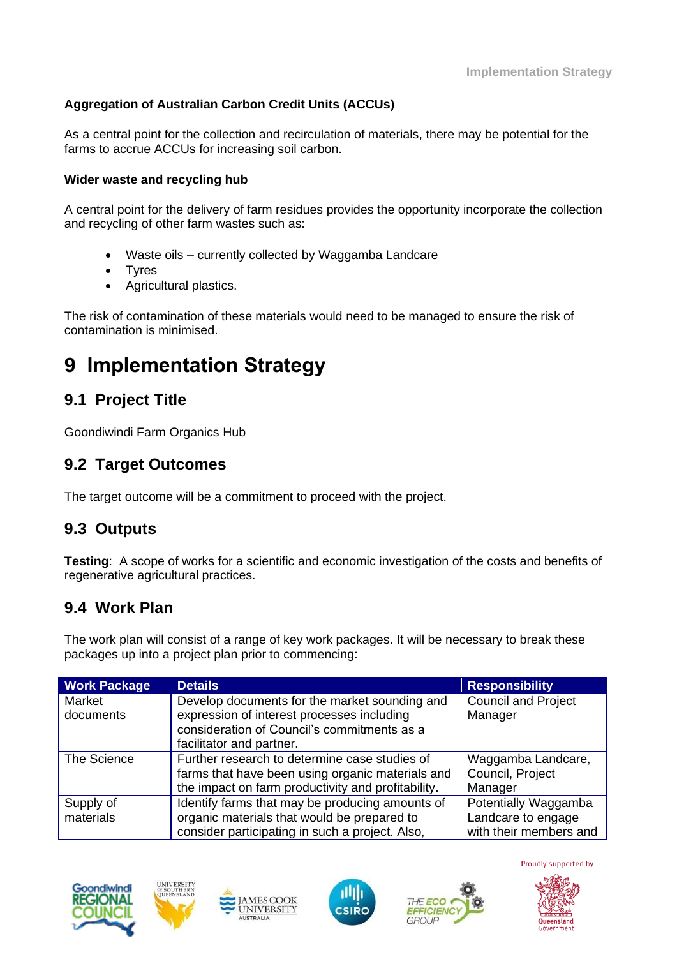### **Aggregation of Australian Carbon Credit Units (ACCUs)**

As a central point for the collection and recirculation of materials, there may be potential for the farms to accrue ACCUs for increasing soil carbon.

#### **Wider waste and recycling hub**

A central point for the delivery of farm residues provides the opportunity incorporate the collection and recycling of other farm wastes such as:

- Waste oils currently collected by Waggamba Landcare
- **Tyres**
- Agricultural plastics.

The risk of contamination of these materials would need to be managed to ensure the risk of contamination is minimised.

# **9 Implementation Strategy**

# **9.1 Project Title**

Goondiwindi Farm Organics Hub

### **9.2 Target Outcomes**

The target outcome will be a commitment to proceed with the project.

### **9.3 Outputs**

**Testing**: A scope of works for a scientific and economic investigation of the costs and benefits of regenerative agricultural practices.

### **9.4 Work Plan**

The work plan will consist of a range of key work packages. It will be necessary to break these packages up into a project plan prior to commencing:

| <b>Work Package</b> | <b>Details</b>                                                                                                                                                         | <b>Responsibility</b>                             |
|---------------------|------------------------------------------------------------------------------------------------------------------------------------------------------------------------|---------------------------------------------------|
| Market<br>documents | Develop documents for the market sounding and<br>expression of interest processes including<br>consideration of Council's commitments as a<br>facilitator and partner. | <b>Council and Project</b><br>Manager             |
| The Science         | Further research to determine case studies of<br>farms that have been using organic materials and<br>the impact on farm productivity and profitability.                | Waggamba Landcare,<br>Council, Project<br>Manager |
| Supply of           | Identify farms that may be producing amounts of                                                                                                                        | Potentially Waggamba                              |
| materials           | organic materials that would be prepared to                                                                                                                            | Landcare to engage                                |
|                     | consider participating in such a project. Also,                                                                                                                        | with their members and                            |







**MESCOOK** 

**UNIVERSITY** 



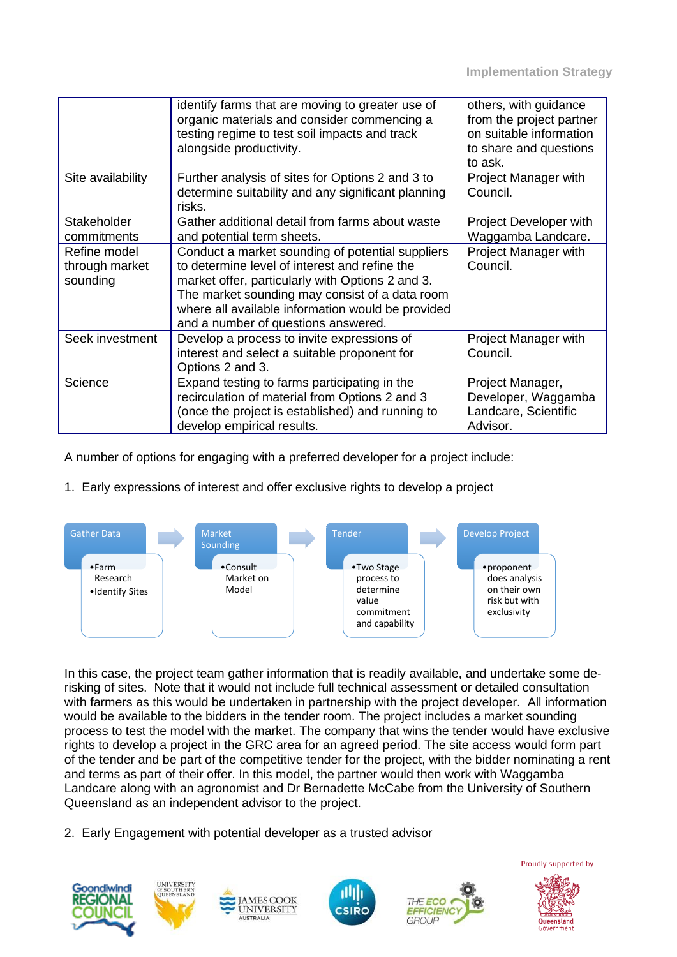|                                            | identify farms that are moving to greater use of<br>organic materials and consider commencing a<br>testing regime to test soil impacts and track<br>alongside productivity.                                                                                                                         | others, with guidance<br>from the project partner<br>on suitable information<br>to share and questions<br>to ask. |
|--------------------------------------------|-----------------------------------------------------------------------------------------------------------------------------------------------------------------------------------------------------------------------------------------------------------------------------------------------------|-------------------------------------------------------------------------------------------------------------------|
| Site availability                          | Further analysis of sites for Options 2 and 3 to<br>determine suitability and any significant planning<br>risks.                                                                                                                                                                                    | Project Manager with<br>Council.                                                                                  |
| Stakeholder<br>commitments                 | Gather additional detail from farms about waste<br>and potential term sheets.                                                                                                                                                                                                                       | Project Developer with<br>Waggamba Landcare.                                                                      |
| Refine model<br>through market<br>sounding | Conduct a market sounding of potential suppliers<br>to determine level of interest and refine the<br>market offer, particularly with Options 2 and 3.<br>The market sounding may consist of a data room<br>where all available information would be provided<br>and a number of questions answered. | Project Manager with<br>Council.                                                                                  |
| Seek investment                            | Develop a process to invite expressions of<br>interest and select a suitable proponent for<br>Options 2 and 3.                                                                                                                                                                                      | Project Manager with<br>Council.                                                                                  |
| Science                                    | Expand testing to farms participating in the<br>recirculation of material from Options 2 and 3<br>(once the project is established) and running to<br>develop empirical results.                                                                                                                    | Project Manager,<br>Developer, Waggamba<br>Landcare, Scientific<br>Advisor.                                       |

A number of options for engaging with a preferred developer for a project include:

#### 1. Early expressions of interest and offer exclusive rights to develop a project



In this case, the project team gather information that is readily available, and undertake some derisking of sites. Note that it would not include full technical assessment or detailed consultation with farmers as this would be undertaken in partnership with the project developer. All information would be available to the bidders in the tender room. The project includes a market sounding process to test the model with the market. The company that wins the tender would have exclusive rights to develop a project in the GRC area for an agreed period. The site access would form part of the tender and be part of the competitive tender for the project, with the bidder nominating a rent and terms as part of their offer. In this model, the partner would then work with Waggamba Landcare along with an agronomist and Dr Bernadette McCabe from the University of Southern Queensland as an independent advisor to the project.

2. Early Engagement with potential developer as a trusted advisor









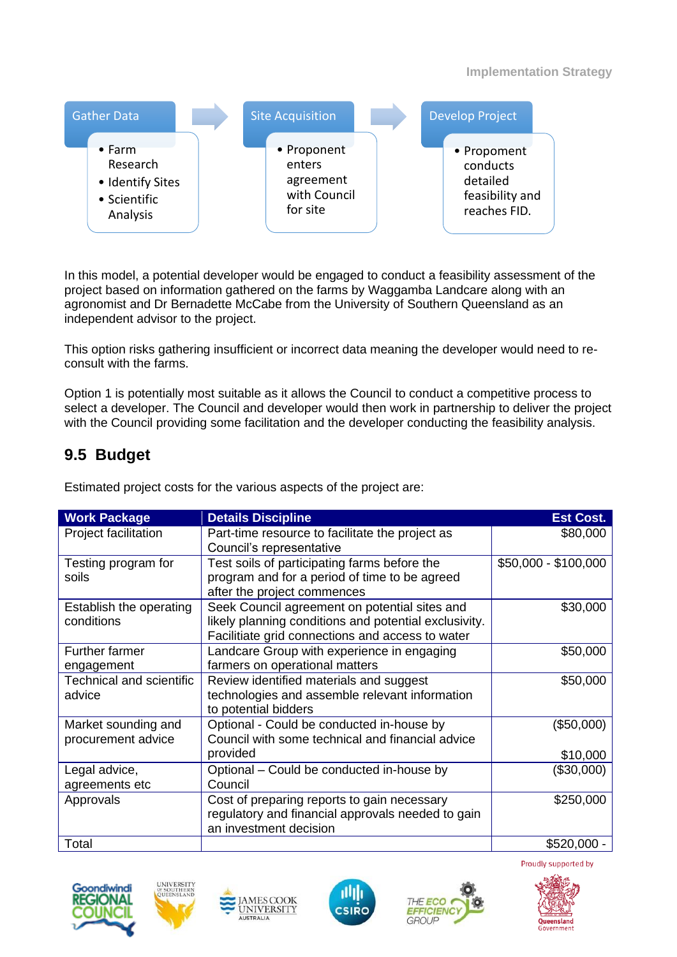

In this model, a potential developer would be engaged to conduct a feasibility assessment of the project based on information gathered on the farms by Waggamba Landcare along with an agronomist and Dr Bernadette McCabe from the University of Southern Queensland as an independent advisor to the project.

This option risks gathering insufficient or incorrect data meaning the developer would need to reconsult with the farms.

Option 1 is potentially most suitable as it allows the Council to conduct a competitive process to select a developer. The Council and developer would then work in partnership to deliver the project with the Council providing some facilitation and the developer conducting the feasibility analysis.

### **9.5 Budget**

| <b>Work Package</b>                       | <b>Details Discipline</b>                                                                                                                                  | <b>Est Cost.</b>     |
|-------------------------------------------|------------------------------------------------------------------------------------------------------------------------------------------------------------|----------------------|
| Project facilitation                      | Part-time resource to facilitate the project as<br>Council's representative                                                                                | \$80,000             |
| Testing program for<br>soils              | Test soils of participating farms before the<br>program and for a period of time to be agreed<br>after the project commences                               | \$50,000 - \$100,000 |
| Establish the operating<br>conditions     | Seek Council agreement on potential sites and<br>likely planning conditions and potential exclusivity.<br>Facilitiate grid connections and access to water | \$30,000             |
| <b>Further farmer</b><br>engagement       | Landcare Group with experience in engaging<br>farmers on operational matters                                                                               | \$50,000             |
| Technical and scientific<br>advice        | Review identified materials and suggest<br>technologies and assemble relevant information<br>to potential bidders                                          | \$50,000             |
| Market sounding and<br>procurement advice | Optional - Could be conducted in-house by<br>Council with some technical and financial advice                                                              | (\$50,000)           |
|                                           | provided                                                                                                                                                   | \$10,000             |
| Legal advice,<br>agreements etc           | Optional – Could be conducted in-house by<br>Council                                                                                                       | (\$30,000)           |
| Approvals                                 | Cost of preparing reports to gain necessary<br>regulatory and financial approvals needed to gain<br>an investment decision                                 | \$250,000            |
| Total                                     |                                                                                                                                                            | $$520,000 -$         |

Estimated project costs for the various aspects of the project are:







**MESCOOK** 

UNIVERSITY



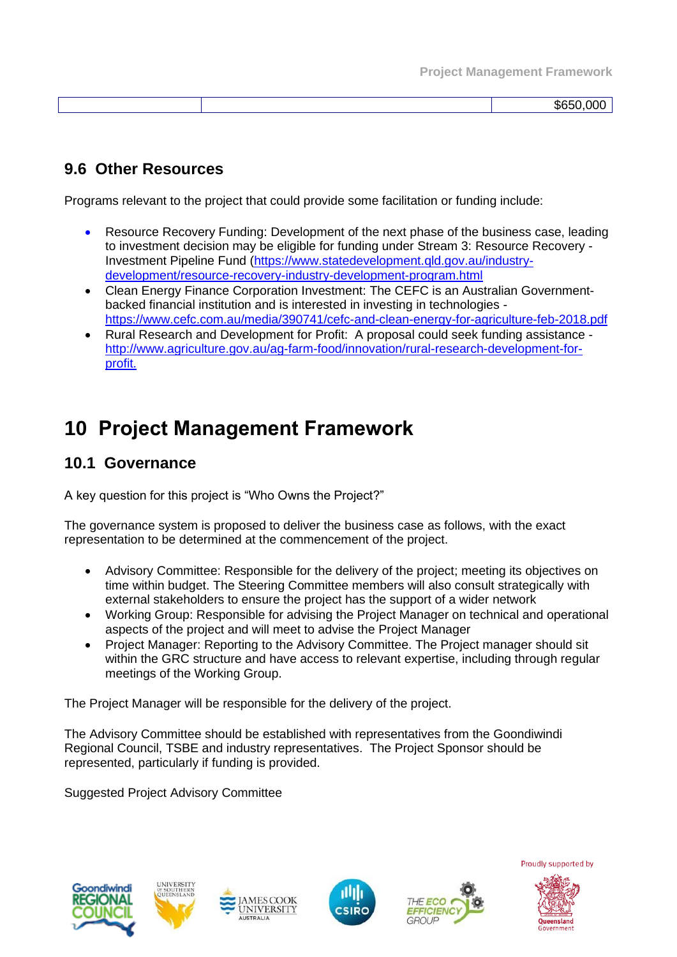|  | . .<br>וו ומאה. |
|--|-----------------|
|  |                 |

# **9.6 Other Resources**

Programs relevant to the project that could provide some facilitation or funding include:

- Resource Recovery Funding: Development of the next phase of the business case, leading to investment decision may be eligible for funding under Stream 3: Resource Recovery - Investment Pipeline Fund (https://www.statedevelopment.qld.gov.au/industrydevelopment/resource-recovery-industry-development-program.html
- Clean Energy Finance Corporation Investment: The CEFC is an Australian Governmentbacked financial institution and is interested in investing in technologies <https://www.cefc.com.au/media/390741/cefc-and-clean-energy-for-agriculture-feb-2018.pdf>
- Rural Research and Development for Profit: A proposal could seek funding assistance [http://www.agriculture.gov.au/ag-farm-food/innovation/rural-research-development-for](http://www.agriculture.gov.au/ag-farm-food/innovation/rural-research-development-for-profit)[profit.](http://www.agriculture.gov.au/ag-farm-food/innovation/rural-research-development-for-profit)

# **10 Project Management Framework**

### **10.1 Governance**

A key question for this project is "Who Owns the Project?"

The governance system is proposed to deliver the business case as follows, with the exact representation to be determined at the commencement of the project.

- Advisory Committee: Responsible for the delivery of the project; meeting its objectives on time within budget. The Steering Committee members will also consult strategically with external stakeholders to ensure the project has the support of a wider network
- Working Group: Responsible for advising the Project Manager on technical and operational aspects of the project and will meet to advise the Project Manager
- Project Manager: Reporting to the Advisory Committee. The Project manager should sit within the GRC structure and have access to relevant expertise, including through regular meetings of the Working Group.

The Project Manager will be responsible for the delivery of the project.

**AMESCOOK** 

**UNIVERSITY** 

The Advisory Committee should be established with representatives from the Goondiwindi Regional Council, TSBE and industry representatives. The Project Sponsor should be represented, particularly if funding is provided.

Suggested Project Advisory Committee









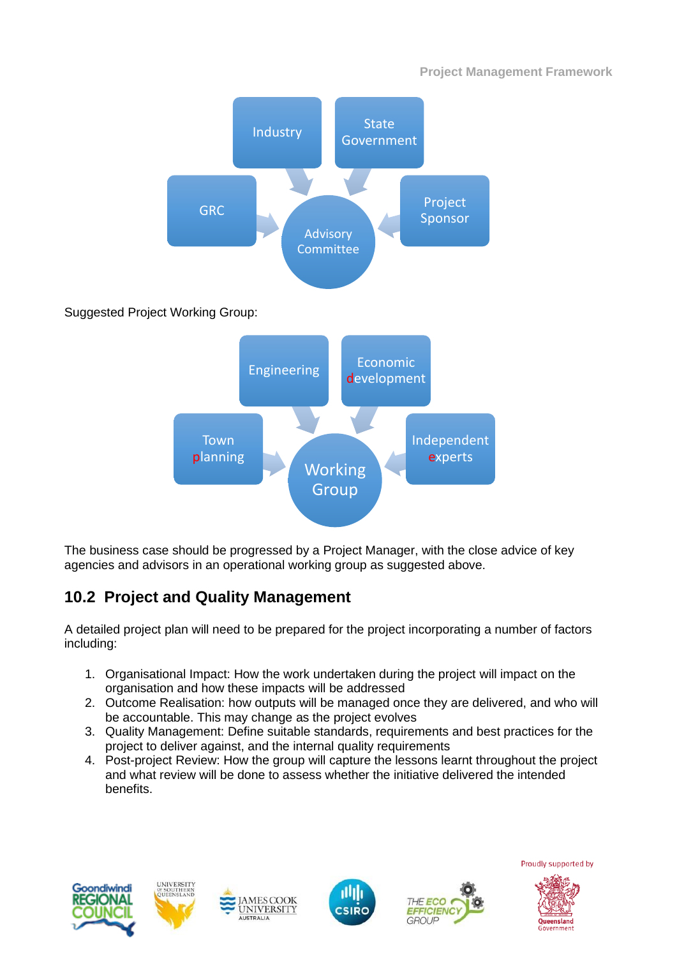

The business case should be progressed by a Project Manager, with the close advice of key agencies and advisors in an operational working group as suggested above.

# **10.2 Project and Quality Management**

A detailed project plan will need to be prepared for the project incorporating a number of factors including:

- 1. Organisational Impact: How the work undertaken during the project will impact on the organisation and how these impacts will be addressed
- 2. Outcome Realisation: how outputs will be managed once they are delivered, and who will be accountable. This may change as the project evolves
- 3. Quality Management: Define suitable standards, requirements and best practices for the project to deliver against, and the internal quality requirements
- 4. Post-project Review: How the group will capture the lessons learnt throughout the project and what review will be done to assess whether the initiative delivered the intended benefits.







MESCOOK

UNIVERSITY



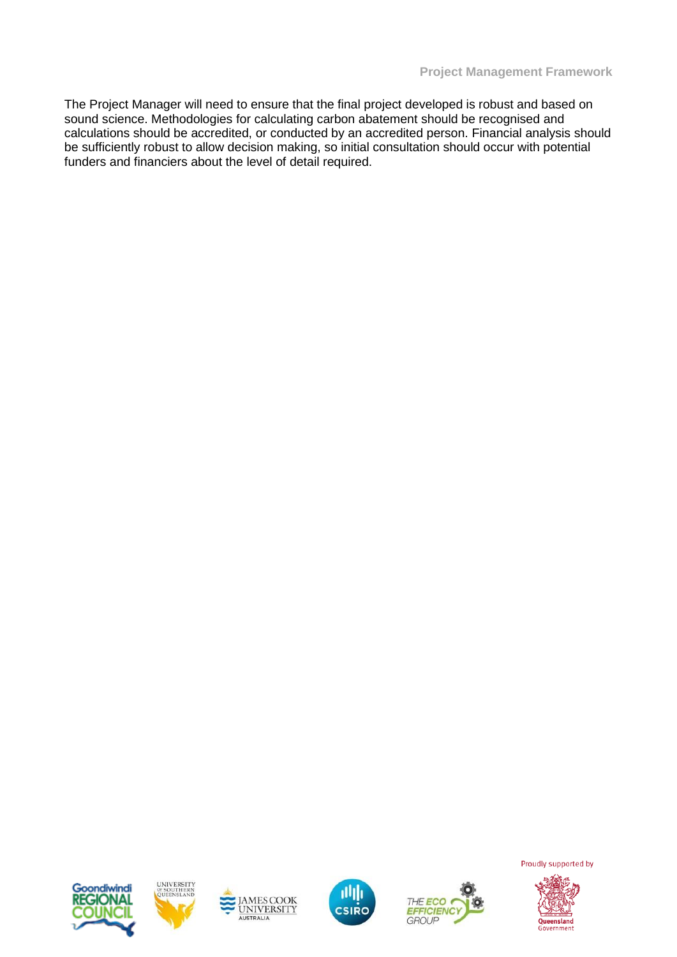The Project Manager will need to ensure that the final project developed is robust and based on sound science. Methodologies for calculating carbon abatement should be recognised and calculations should be accredited, or conducted by an accredited person. Financial analysis should be sufficiently robust to allow decision making, so initial consultation should occur with potential funders and financiers about the level of detail required.











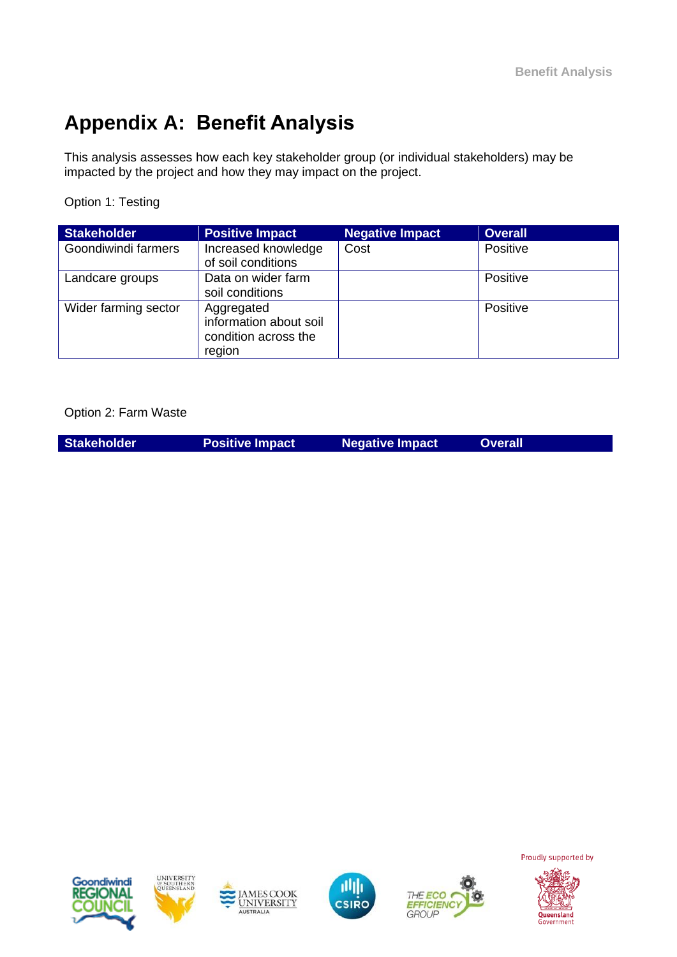# **Appendix A: Benefit Analysis**

This analysis assesses how each key stakeholder group (or individual stakeholders) may be impacted by the project and how they may impact on the project.

Option 1: Testing

| <b>Stakeholder</b>   | <b>Positive Impact</b>                                                 | <b>Negative Impact</b> | <b>Overall</b> |
|----------------------|------------------------------------------------------------------------|------------------------|----------------|
| Goondiwindi farmers  | Increased knowledge<br>of soil conditions                              | Cost                   | Positive       |
| Landcare groups      | Data on wider farm<br>soil conditions                                  |                        | Positive       |
| Wider farming sector | Aggregated<br>information about soil<br>condition across the<br>region |                        | Positive       |

Option 2: Farm Waste

| <b>Stakeholder</b> | <b>Positive Impact</b> | <b>Negative Impact</b> | <b>Overall</b> |
|--------------------|------------------------|------------------------|----------------|
|                    |                        |                        |                |











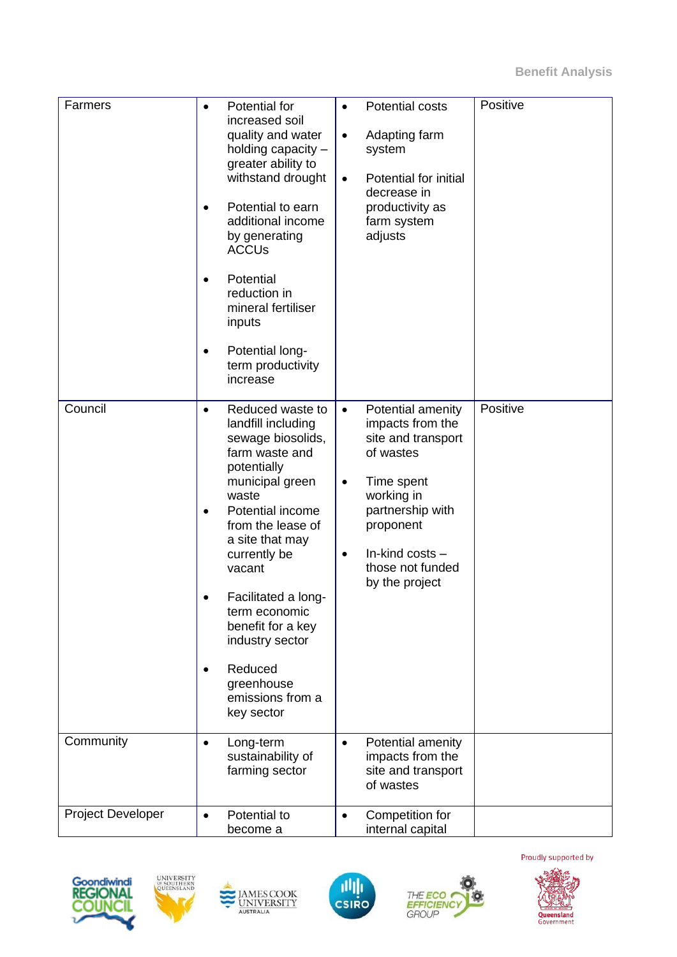| Farmers                  | $\bullet$<br>$\bullet$<br>$\bullet$ | Potential for<br>increased soil<br>quality and water<br>holding capacity -<br>greater ability to<br>withstand drought<br>Potential to earn<br>additional income<br>by generating<br><b>ACCUs</b><br>Potential<br>reduction in<br>mineral fertiliser<br>inputs<br>Potential long-<br>term productivity<br>increase | $\bullet$<br>$\bullet$<br>$\bullet$ | Potential costs<br>Adapting farm<br>system<br>Potential for initial<br>decrease in<br>productivity as<br>farm system<br>adjusts | Positive |
|--------------------------|-------------------------------------|-------------------------------------------------------------------------------------------------------------------------------------------------------------------------------------------------------------------------------------------------------------------------------------------------------------------|-------------------------------------|---------------------------------------------------------------------------------------------------------------------------------|----------|
| Council                  | $\bullet$                           | Reduced waste to<br>landfill including                                                                                                                                                                                                                                                                            | $\bullet$                           | Potential amenity<br>impacts from the                                                                                           | Positive |
|                          |                                     | sewage biosolids,<br>farm waste and<br>potentially                                                                                                                                                                                                                                                                |                                     | site and transport<br>of wastes                                                                                                 |          |
|                          |                                     | municipal green<br>waste<br>Potential income<br>from the lease of<br>a site that may                                                                                                                                                                                                                              | $\bullet$                           | Time spent<br>working in<br>partnership with<br>proponent                                                                       |          |
|                          |                                     | currently be<br>vacant                                                                                                                                                                                                                                                                                            | $\bullet$                           | In-kind costs -<br>those not funded<br>by the project                                                                           |          |
|                          | $\bullet$                           | Facilitated a long-<br>term economic<br>benefit for a key<br>industry sector                                                                                                                                                                                                                                      |                                     |                                                                                                                                 |          |
|                          | $\bullet$                           | Reduced<br>greenhouse<br>emissions from a<br>key sector                                                                                                                                                                                                                                                           |                                     |                                                                                                                                 |          |
| Community                | $\bullet$                           | Long-term<br>sustainability of<br>farming sector                                                                                                                                                                                                                                                                  | $\bullet$                           | Potential amenity<br>impacts from the<br>site and transport<br>of wastes                                                        |          |
| <b>Project Developer</b> | $\bullet$                           | Potential to<br>become a                                                                                                                                                                                                                                                                                          | $\bullet$                           | Competition for<br>internal capital                                                                                             |          |











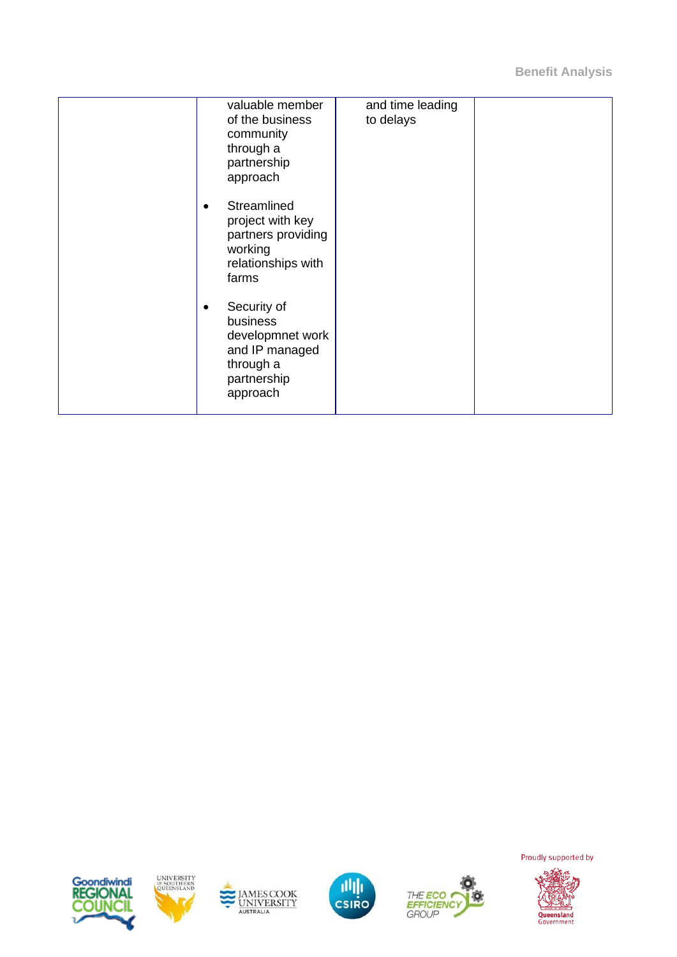**Benefit Analysis**

| valuable member<br>of the business<br>community<br>through a<br>partnership<br>approach               | and time leading<br>to delays |  |
|-------------------------------------------------------------------------------------------------------|-------------------------------|--|
| Streamlined<br>project with key<br>partners providing<br>working<br>relationships with<br>farms       |                               |  |
| Security of<br>business<br>developmnet work<br>and IP managed<br>through a<br>partnership<br>approach |                               |  |











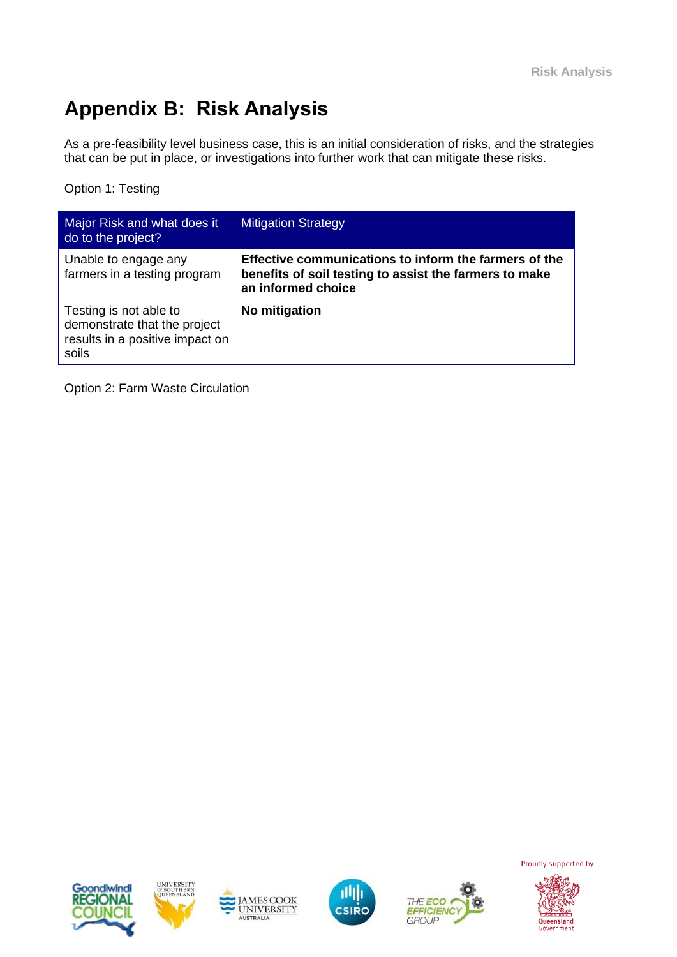# **Appendix B: Risk Analysis**

As a pre-feasibility level business case, this is an initial consideration of risks, and the strategies that can be put in place, or investigations into further work that can mitigate these risks.

Option 1: Testing

| Major Risk and what does it<br>do to the project?                                                  | <b>Mitigation Strategy</b>                                                                                                            |
|----------------------------------------------------------------------------------------------------|---------------------------------------------------------------------------------------------------------------------------------------|
| Unable to engage any<br>farmers in a testing program                                               | Effective communications to inform the farmers of the<br>benefits of soil testing to assist the farmers to make<br>an informed choice |
| Testing is not able to<br>demonstrate that the project<br>results in a positive impact on<br>soils | No mitigation                                                                                                                         |

Option 2: Farm Waste Circulation











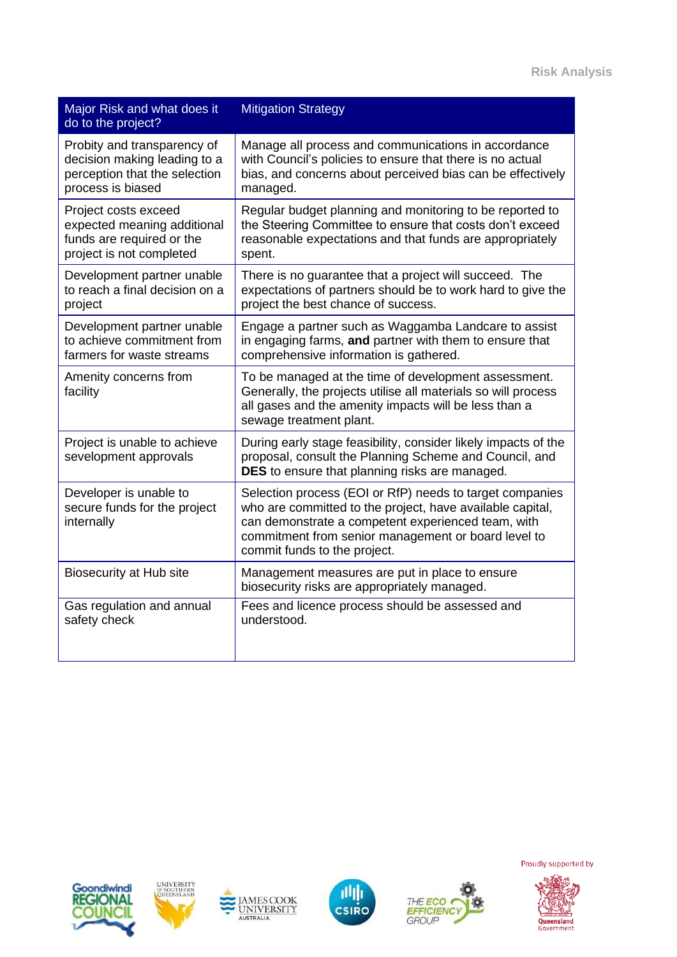| Major Risk and what does it<br>do to the project?                    | <b>Mitigation Strategy</b>                                                                                                                                                                                                                                         |
|----------------------------------------------------------------------|--------------------------------------------------------------------------------------------------------------------------------------------------------------------------------------------------------------------------------------------------------------------|
| Probity and transparency of                                          | Manage all process and communications in accordance                                                                                                                                                                                                                |
| decision making leading to a                                         | with Council's policies to ensure that there is no actual                                                                                                                                                                                                          |
| perception that the selection                                        | bias, and concerns about perceived bias can be effectively                                                                                                                                                                                                         |
| process is biased                                                    | managed.                                                                                                                                                                                                                                                           |
| Project costs exceed                                                 | Regular budget planning and monitoring to be reported to                                                                                                                                                                                                           |
| expected meaning additional                                          | the Steering Committee to ensure that costs don't exceed                                                                                                                                                                                                           |
| funds are required or the                                            | reasonable expectations and that funds are appropriately                                                                                                                                                                                                           |
| project is not completed                                             | spent.                                                                                                                                                                                                                                                             |
| Development partner unable                                           | There is no guarantee that a project will succeed. The                                                                                                                                                                                                             |
| to reach a final decision on a                                       | expectations of partners should be to work hard to give the                                                                                                                                                                                                        |
| project                                                              | project the best chance of success.                                                                                                                                                                                                                                |
| Development partner unable                                           | Engage a partner such as Waggamba Landcare to assist                                                                                                                                                                                                               |
| to achieve commitment from                                           | in engaging farms, and partner with them to ensure that                                                                                                                                                                                                            |
| farmers for waste streams                                            | comprehensive information is gathered.                                                                                                                                                                                                                             |
| Amenity concerns from<br>facility                                    | To be managed at the time of development assessment.<br>Generally, the projects utilise all materials so will process<br>all gases and the amenity impacts will be less than a<br>sewage treatment plant.                                                          |
| Project is unable to achieve<br>sevelopment approvals                | During early stage feasibility, consider likely impacts of the<br>proposal, consult the Planning Scheme and Council, and<br>DES to ensure that planning risks are managed.                                                                                         |
| Developer is unable to<br>secure funds for the project<br>internally | Selection process (EOI or RfP) needs to target companies<br>who are committed to the project, have available capital,<br>can demonstrate a competent experienced team, with<br>commitment from senior management or board level to<br>commit funds to the project. |
| <b>Biosecurity at Hub site</b>                                       | Management measures are put in place to ensure<br>biosecurity risks are appropriately managed.                                                                                                                                                                     |
| Gas regulation and annual                                            | Fees and licence process should be assessed and                                                                                                                                                                                                                    |
| safety check                                                         | understood.                                                                                                                                                                                                                                                        |











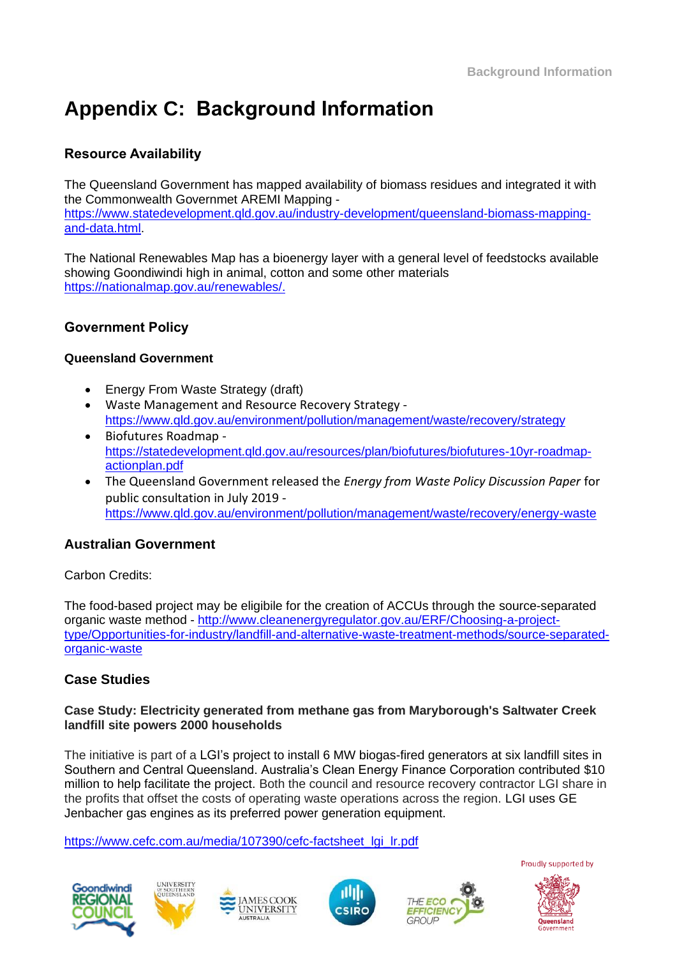# **Appendix C: Background Information**

### **Resource Availability**

The Queensland Government has mapped availability of biomass residues and integrated it with the Commonwealth Governmet AREMI Mapping [https://www.statedevelopment.qld.gov.au/industry-development/queensland-biomass-mapping](https://www.statedevelopment.qld.gov.au/industry-development/queensland-biomass-mapping-and-data.html)[and-data.html.](https://www.statedevelopment.qld.gov.au/industry-development/queensland-biomass-mapping-and-data.html)

The National Renewables Map has a bioenergy layer with a general level of feedstocks available showing Goondiwindi high in animal, cotton and some other materials [https://nationalmap.gov.au/renewables/.](https://nationalmap.gov.au/renewables/)

### **Government Policy**

#### **Queensland Government**

- Energy From Waste Strategy (draft)
- Waste Management and Resource Recovery Strategy <https://www.qld.gov.au/environment/pollution/management/waste/recovery/strategy>
- Biofutures Roadmap [https://statedevelopment.qld.gov.au/resources/plan/biofutures/biofutures-10yr-roadmap](https://statedevelopment.qld.gov.au/resources/plan/biofutures/biofutures-10yr-roadmap-actionplan.pdf)[actionplan.pdf](https://statedevelopment.qld.gov.au/resources/plan/biofutures/biofutures-10yr-roadmap-actionplan.pdf)
- The Queensland Government released the *Energy from Waste Policy Discussion Paper* for public consultation in July 2019 <https://www.qld.gov.au/environment/pollution/management/waste/recovery/energy-waste>

#### **Australian Government**

Carbon Credits:

The food-based project may be eligibile for the creation of ACCUs through the source-separated organic waste method - [http://www.cleanenergyregulator.gov.au/ERF/Choosing-a-project](http://www.cleanenergyregulator.gov.au/ERF/Choosing-a-project-type/Opportunities-for-industry/landfill-and-alternative-waste-treatment-methods/source-separated-organic-waste)[type/Opportunities-for-industry/landfill-and-alternative-waste-treatment-methods/source-separated](http://www.cleanenergyregulator.gov.au/ERF/Choosing-a-project-type/Opportunities-for-industry/landfill-and-alternative-waste-treatment-methods/source-separated-organic-waste)[organic-waste](http://www.cleanenergyregulator.gov.au/ERF/Choosing-a-project-type/Opportunities-for-industry/landfill-and-alternative-waste-treatment-methods/source-separated-organic-waste)

#### **Case Studies**

#### **Case Study: Electricity generated from methane gas from Maryborough's Saltwater Creek landfill site powers 2000 households**

The initiative is part of a LGI's project to install 6 MW biogas-fired generators at six landfill sites in Southern and Central Queensland. Australia's Clean Energy Finance Corporation contributed \$10 million to help facilitate the project. Both the council and resource recovery contractor LGI share in the profits that offset the costs of operating waste operations across the region. LGI uses GE Jenbacher gas engines as its preferred power generation equipment.

CSIRO

[https://www.cefc.com.au/media/107390/cefc-factsheet\\_lgi\\_lr.pdf](https://www.cefc.com.au/media/107390/cefc-factsheet_lgi_lr.pdf)









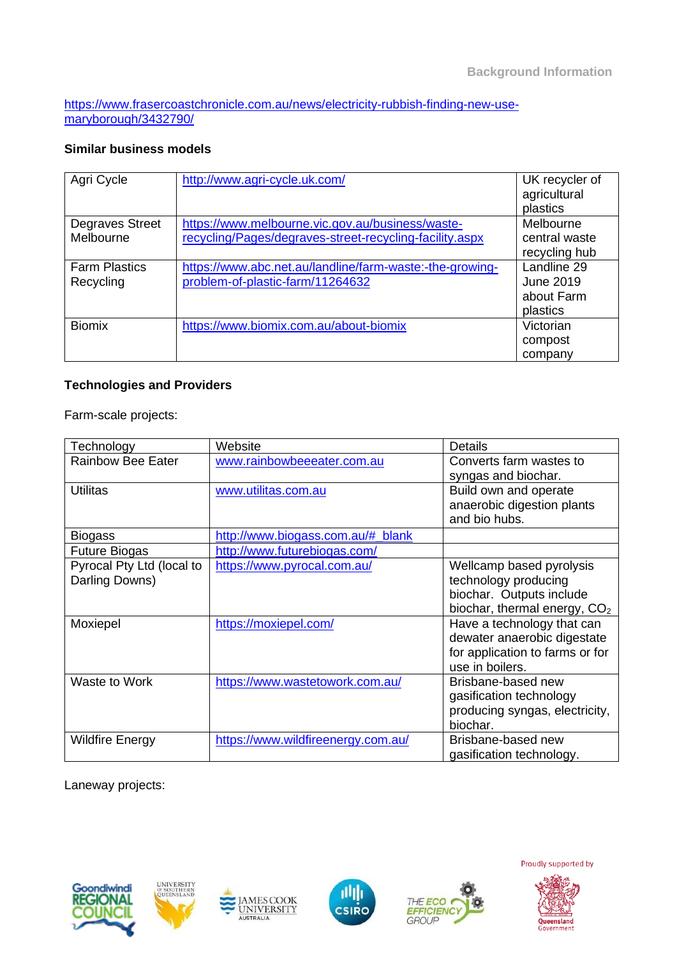[https://www.frasercoastchronicle.com.au/news/electricity-rubbish-finding-new-use](https://www.frasercoastchronicle.com.au/news/electricity-rubbish-finding-new-use-maryborough/3432790/)[maryborough/3432790/](https://www.frasercoastchronicle.com.au/news/electricity-rubbish-finding-new-use-maryborough/3432790/)

### **Similar business models**

| Agri Cycle           | http://www.agri-cycle.uk.com/                            | UK recycler of<br>agricultural<br>plastics |
|----------------------|----------------------------------------------------------|--------------------------------------------|
| Degraves Street      | https://www.melbourne.vic.gov.au/business/waste-         | Melbourne                                  |
| Melbourne            | recycling/Pages/degraves-street-recycling-facility.aspx  | central waste                              |
|                      |                                                          | recycling hub                              |
| <b>Farm Plastics</b> | https://www.abc.net.au/landline/farm-waste:-the-growing- | Landline 29                                |
| Recycling            | problem-of-plastic-farm/11264632                         | <b>June 2019</b>                           |
|                      |                                                          | about Farm                                 |
|                      |                                                          | plastics                                   |
| <b>Biomix</b>        | https://www.biomix.com.au/about-biomix                   | Victorian                                  |
|                      |                                                          | compost                                    |
|                      |                                                          | company                                    |

### **Technologies and Providers**

Farm-scale projects:

| Technology                | Website                            | Details                                  |
|---------------------------|------------------------------------|------------------------------------------|
| <b>Rainbow Bee Eater</b>  | www.rainbowbeeeater.com.au         | Converts farm wastes to                  |
|                           |                                    | syngas and biochar.                      |
| Utilitas                  | www.utilitas.com.au                | Build own and operate                    |
|                           |                                    | anaerobic digestion plants               |
|                           |                                    | and bio hubs.                            |
| <b>Biogass</b>            | http://www.biogass.com.au/# blank  |                                          |
| <b>Future Biogas</b>      | http://www.futurebiogas.com/       |                                          |
| Pyrocal Pty Ltd (local to | https://www.pyrocal.com.au/        | Wellcamp based pyrolysis                 |
| Darling Downs)            |                                    | technology producing                     |
|                           |                                    | biochar. Outputs include                 |
|                           |                                    | biochar, thermal energy, CO <sub>2</sub> |
| Moxiepel                  | https://moxiepel.com/              | Have a technology that can               |
|                           |                                    | dewater anaerobic digestate              |
|                           |                                    | for application to farms or for          |
|                           |                                    | use in boilers.                          |
| Waste to Work             | https://www.wastetowork.com.au/    | Brisbane-based new                       |
|                           |                                    | gasification technology                  |
|                           |                                    | producing syngas, electricity,           |
|                           |                                    | biochar.                                 |
| <b>Wildfire Energy</b>    | https://www.wildfireenergy.com.au/ | Brisbane-based new                       |
|                           |                                    | gasification technology.                 |

Laneway projects:





**JAMES COOK**<br>UNIVERSITY

AUSTRALIA



THE ECO

EFFICIENC

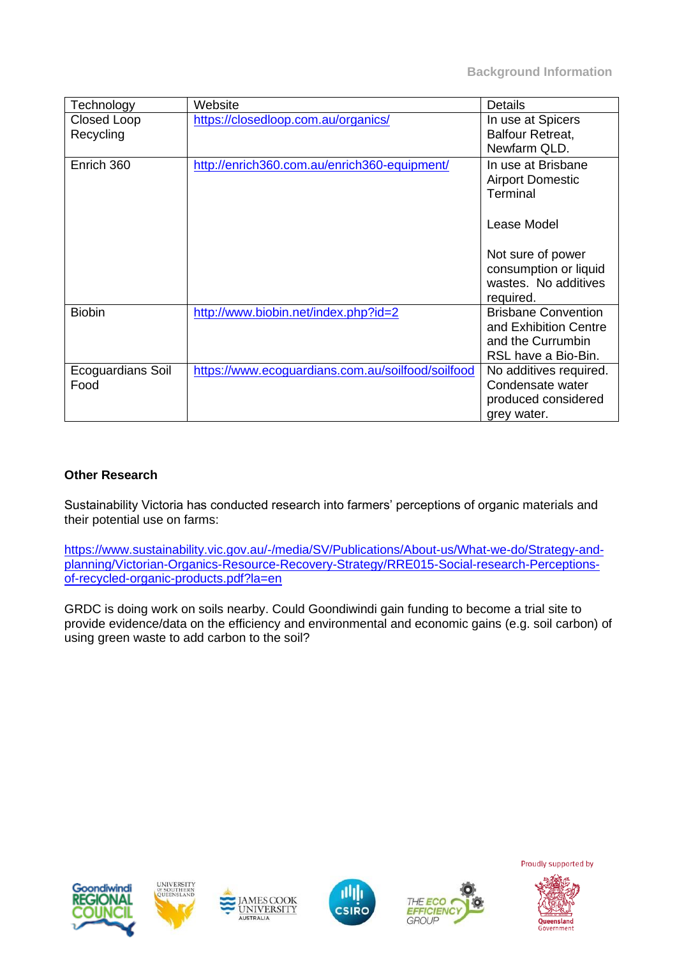| Technology                      | Website                                           | <b>Details</b>                                                                                  |
|---------------------------------|---------------------------------------------------|-------------------------------------------------------------------------------------------------|
| <b>Closed Loop</b><br>Recycling | https://closedloop.com.au/organics/               | In use at Spicers<br><b>Balfour Retreat,</b><br>Newfarm QLD.                                    |
| Enrich 360                      | http://enrich360.com.au/enrich360-equipment/      | In use at Brisbane<br><b>Airport Domestic</b><br>Terminal                                       |
|                                 |                                                   | Lease Model                                                                                     |
|                                 |                                                   | Not sure of power<br>consumption or liquid<br>wastes. No additives<br>required.                 |
| <b>Biobin</b>                   | http://www.biobin.net/index.php?id=2              | <b>Brisbane Convention</b><br>and Exhibition Centre<br>and the Currumbin<br>RSL have a Bio-Bin. |
| Ecoguardians Soil<br>Food       | https://www.ecoguardians.com.au/soilfood/soilfood | No additives required.<br>Condensate water<br>produced considered<br>grey water.                |

#### **Other Research**

Sustainability Victoria has conducted research into farmers' perceptions of organic materials and their potential use on farms:

[https://www.sustainability.vic.gov.au/-/media/SV/Publications/About-us/What-we-do/Strategy-and](https://www.sustainability.vic.gov.au/-/media/SV/Publications/About-us/What-we-do/Strategy-and-planning/Victorian-Organics-Resource-Recovery-Strategy/RRE015-Social-research-Perceptions-of-recycled-organic-products.pdf?la=en)[planning/Victorian-Organics-Resource-Recovery-Strategy/RRE015-Social-research-Perceptions](https://www.sustainability.vic.gov.au/-/media/SV/Publications/About-us/What-we-do/Strategy-and-planning/Victorian-Organics-Resource-Recovery-Strategy/RRE015-Social-research-Perceptions-of-recycled-organic-products.pdf?la=en)[of-recycled-organic-products.pdf?la=en](https://www.sustainability.vic.gov.au/-/media/SV/Publications/About-us/What-we-do/Strategy-and-planning/Victorian-Organics-Resource-Recovery-Strategy/RRE015-Social-research-Perceptions-of-recycled-organic-products.pdf?la=en)

GRDC is doing work on soils nearby. Could Goondiwindi gain funding to become a trial site to provide evidence/data on the efficiency and environmental and economic gains (e.g. soil carbon) of using green waste to add carbon to the soil?











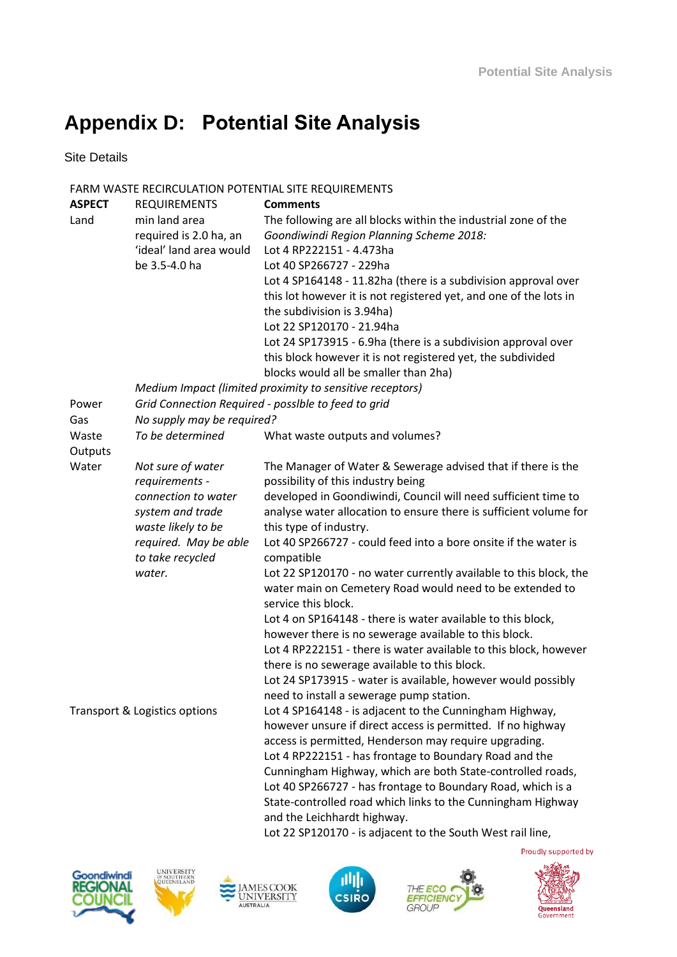# **Appendix D: Potential Site Analysis**

Site Details

#### FARM WASTE RECIRCULATION POTENTIAL SITE REQUIREMENTS

| min land area<br>The following are all blocks within the industrial zone of the<br>Land<br>required is 2.0 ha, an<br>Goondiwindi Region Planning Scheme 2018:<br>'ideal' land area would<br>Lot 4 RP222151 - 4.473ha<br>be 3.5-4.0 ha<br>Lot 40 SP266727 - 229ha<br>Lot 4 SP164148 - 11.82ha (there is a subdivision approval over<br>this lot however it is not registered yet, and one of the lots in<br>the subdivision is 3.94ha)<br>Lot 22 SP120170 - 21.94ha<br>Lot 24 SP173915 - 6.9ha (there is a subdivision approval over<br>this block however it is not registered yet, the subdivided | <b>ASPECT</b> | <b>REQUIREMENTS</b> | <b>Comments</b>                                                   |
|----------------------------------------------------------------------------------------------------------------------------------------------------------------------------------------------------------------------------------------------------------------------------------------------------------------------------------------------------------------------------------------------------------------------------------------------------------------------------------------------------------------------------------------------------------------------------------------------------|---------------|---------------------|-------------------------------------------------------------------|
|                                                                                                                                                                                                                                                                                                                                                                                                                                                                                                                                                                                                    |               |                     |                                                                   |
|                                                                                                                                                                                                                                                                                                                                                                                                                                                                                                                                                                                                    |               |                     |                                                                   |
|                                                                                                                                                                                                                                                                                                                                                                                                                                                                                                                                                                                                    |               |                     |                                                                   |
|                                                                                                                                                                                                                                                                                                                                                                                                                                                                                                                                                                                                    |               |                     |                                                                   |
|                                                                                                                                                                                                                                                                                                                                                                                                                                                                                                                                                                                                    |               |                     |                                                                   |
|                                                                                                                                                                                                                                                                                                                                                                                                                                                                                                                                                                                                    |               |                     |                                                                   |
|                                                                                                                                                                                                                                                                                                                                                                                                                                                                                                                                                                                                    |               |                     |                                                                   |
|                                                                                                                                                                                                                                                                                                                                                                                                                                                                                                                                                                                                    |               |                     |                                                                   |
|                                                                                                                                                                                                                                                                                                                                                                                                                                                                                                                                                                                                    |               |                     |                                                                   |
|                                                                                                                                                                                                                                                                                                                                                                                                                                                                                                                                                                                                    |               |                     |                                                                   |
|                                                                                                                                                                                                                                                                                                                                                                                                                                                                                                                                                                                                    |               |                     | blocks would all be smaller than 2ha)                             |
| Medium Impact (limited proximity to sensitive receptors)                                                                                                                                                                                                                                                                                                                                                                                                                                                                                                                                           |               |                     |                                                                   |
| Grid Connection Required - possible to feed to grid<br>Power                                                                                                                                                                                                                                                                                                                                                                                                                                                                                                                                       |               |                     |                                                                   |
| No supply may be required?<br>Gas                                                                                                                                                                                                                                                                                                                                                                                                                                                                                                                                                                  |               |                     |                                                                   |
| To be determined<br>Waste<br>What waste outputs and volumes?                                                                                                                                                                                                                                                                                                                                                                                                                                                                                                                                       |               |                     |                                                                   |
| Outputs                                                                                                                                                                                                                                                                                                                                                                                                                                                                                                                                                                                            |               |                     |                                                                   |
| Water<br>The Manager of Water & Sewerage advised that if there is the<br>Not sure of water                                                                                                                                                                                                                                                                                                                                                                                                                                                                                                         |               |                     |                                                                   |
| requirements -<br>possibility of this industry being                                                                                                                                                                                                                                                                                                                                                                                                                                                                                                                                               |               |                     |                                                                   |
| developed in Goondiwindi, Council will need sufficient time to<br>connection to water                                                                                                                                                                                                                                                                                                                                                                                                                                                                                                              |               |                     |                                                                   |
| system and trade                                                                                                                                                                                                                                                                                                                                                                                                                                                                                                                                                                                   |               |                     | analyse water allocation to ensure there is sufficient volume for |
| this type of industry.<br>waste likely to be                                                                                                                                                                                                                                                                                                                                                                                                                                                                                                                                                       |               |                     |                                                                   |
| Lot 40 SP266727 - could feed into a bore onsite if the water is<br>required. May be able                                                                                                                                                                                                                                                                                                                                                                                                                                                                                                           |               |                     |                                                                   |
| to take recycled<br>compatible                                                                                                                                                                                                                                                                                                                                                                                                                                                                                                                                                                     |               |                     |                                                                   |
| water.                                                                                                                                                                                                                                                                                                                                                                                                                                                                                                                                                                                             |               |                     | Lot 22 SP120170 - no water currently available to this block, the |
| water main on Cemetery Road would need to be extended to                                                                                                                                                                                                                                                                                                                                                                                                                                                                                                                                           |               |                     |                                                                   |
| service this block.                                                                                                                                                                                                                                                                                                                                                                                                                                                                                                                                                                                |               |                     |                                                                   |
| Lot 4 on SP164148 - there is water available to this block,                                                                                                                                                                                                                                                                                                                                                                                                                                                                                                                                        |               |                     |                                                                   |
| however there is no sewerage available to this block.                                                                                                                                                                                                                                                                                                                                                                                                                                                                                                                                              |               |                     |                                                                   |
|                                                                                                                                                                                                                                                                                                                                                                                                                                                                                                                                                                                                    |               |                     | Lot 4 RP222151 - there is water available to this block, however  |
| there is no sewerage available to this block.                                                                                                                                                                                                                                                                                                                                                                                                                                                                                                                                                      |               |                     |                                                                   |
| Lot 24 SP173915 - water is available, however would possibly                                                                                                                                                                                                                                                                                                                                                                                                                                                                                                                                       |               |                     |                                                                   |
| need to install a sewerage pump station.                                                                                                                                                                                                                                                                                                                                                                                                                                                                                                                                                           |               |                     |                                                                   |
| Lot 4 SP164148 - is adjacent to the Cunningham Highway,<br>Transport & Logistics options                                                                                                                                                                                                                                                                                                                                                                                                                                                                                                           |               |                     |                                                                   |
| however unsure if direct access is permitted. If no highway                                                                                                                                                                                                                                                                                                                                                                                                                                                                                                                                        |               |                     |                                                                   |
| access is permitted, Henderson may require upgrading.                                                                                                                                                                                                                                                                                                                                                                                                                                                                                                                                              |               |                     |                                                                   |
| Lot 4 RP222151 - has frontage to Boundary Road and the                                                                                                                                                                                                                                                                                                                                                                                                                                                                                                                                             |               |                     |                                                                   |
| Cunningham Highway, which are both State-controlled roads,                                                                                                                                                                                                                                                                                                                                                                                                                                                                                                                                         |               |                     |                                                                   |
| Lot 40 SP266727 - has frontage to Boundary Road, which is a                                                                                                                                                                                                                                                                                                                                                                                                                                                                                                                                        |               |                     |                                                                   |
| State-controlled road which links to the Cunningham Highway                                                                                                                                                                                                                                                                                                                                                                                                                                                                                                                                        |               |                     |                                                                   |
| and the Leichhardt highway.                                                                                                                                                                                                                                                                                                                                                                                                                                                                                                                                                                        |               |                     |                                                                   |
| Lot 22 SP120170 - is adjacent to the South West rail line,                                                                                                                                                                                                                                                                                                                                                                                                                                                                                                                                         |               |                     |                                                                   |













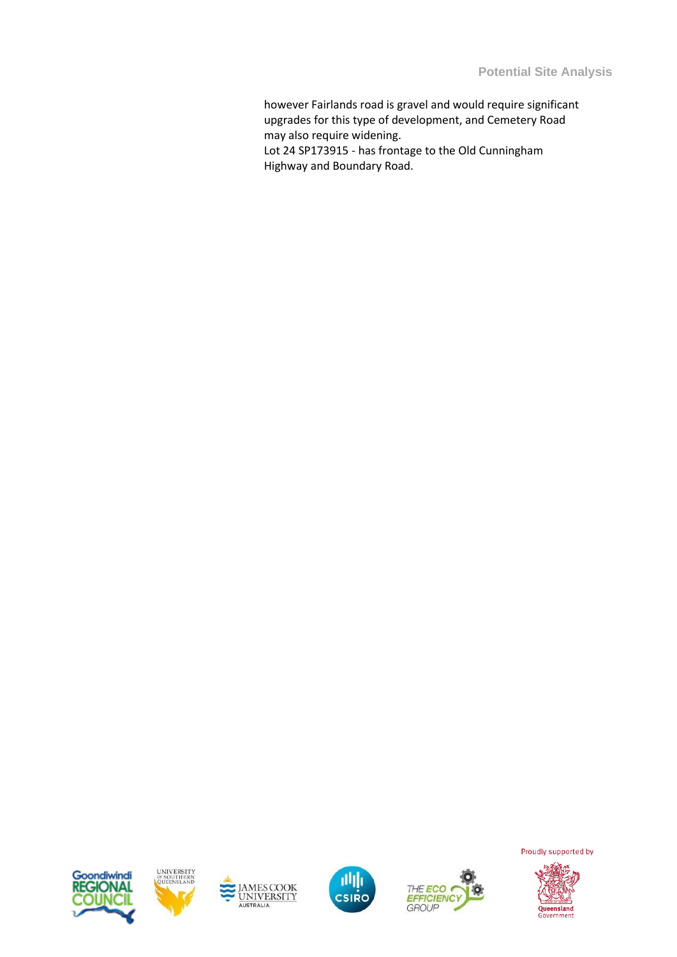however Fairlands road is gravel and would require significant upgrades for this type of development, and Cemetery Road may also require widening.

Lot 24 SP173915 - has frontage to the Old Cunningham Highway and Boundary Road.











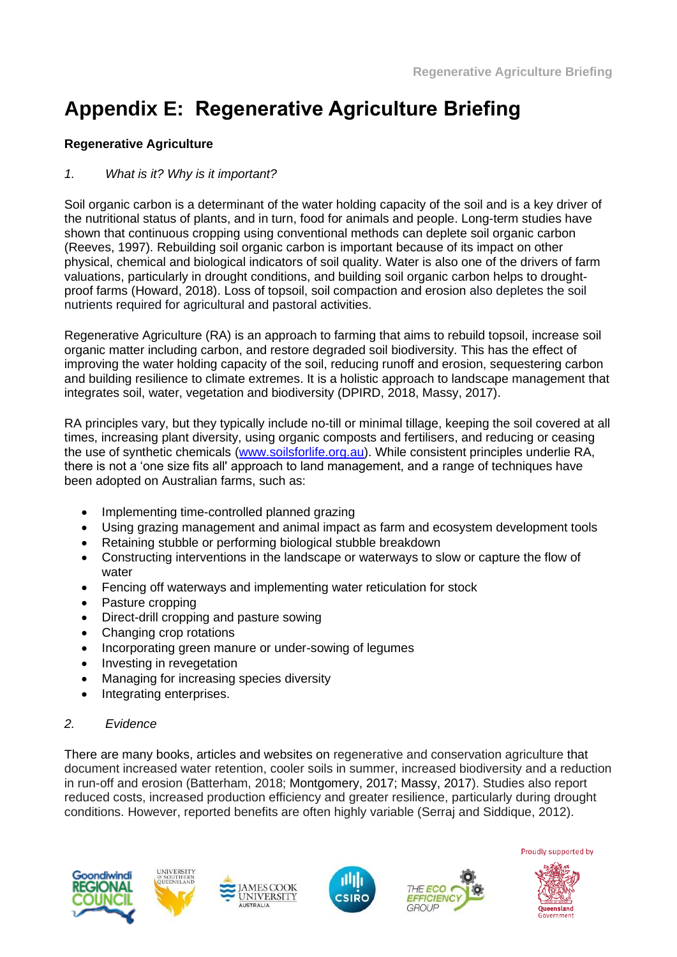# **Appendix E: Regenerative Agriculture Briefing**

### **Regenerative Agriculture**

### *1. What is it? Why is it important?*

Soil organic carbon is a determinant of the water holding capacity of the soil and is a key driver of the nutritional status of plants, and in turn, food for animals and people. Long-term studies have shown that continuous cropping using conventional methods can deplete soil organic carbon (Reeves, 1997). Rebuilding soil organic carbon is important because of its impact on other physical, chemical and biological indicators of soil quality. Water is also one of the drivers of farm valuations, particularly in drought conditions, and building soil organic carbon helps to droughtproof farms (Howard, 2018). Loss of topsoil, soil compaction and erosion also depletes the soil nutrients required for agricultural and pastoral activities.

Regenerative Agriculture (RA) is an approach to farming that aims to rebuild topsoil, increase soil organic matter including carbon, and restore degraded soil biodiversity. This has the effect of improving the water holding capacity of the soil, reducing runoff and erosion, sequestering carbon and building resilience to climate extremes. It is a holistic approach to landscape management that integrates soil, water, vegetation and biodiversity (DPIRD, 2018, Massy, 2017).

RA principles vary, but they typically include no-till or minimal tillage, keeping the soil covered at all times, increasing plant diversity, using organic composts and fertilisers, and reducing or ceasing the use of synthetic chemicals [\(www.soilsforlife.org.au\)](http://www.soilsforlife.org.au/). While consistent principles underlie RA, there is not a 'one size fits all' approach to land management, and a range of techniques have been adopted on Australian farms, such as:

- Implementing time-controlled planned grazing
- Using grazing management and animal impact as farm and ecosystem development tools
- Retaining stubble or performing biological stubble breakdown
- Constructing interventions in the landscape or waterways to slow or capture the flow of water
- Fencing off waterways and implementing water reticulation for stock
- Pasture cropping
- Direct-drill cropping and pasture sowing
- Changing crop rotations
- Incorporating green manure or under-sowing of legumes
- Investing in revegetation
- Managing for increasing species diversity
- Integrating enterprises.

### *2. Evidence*

There are many books, articles and websites on regenerative and conservation agriculture that document increased water retention, cooler soils in summer, increased biodiversity and a reduction in run-off and erosion (Batterham, 2018; Montgomery, 2017; Massy, 2017). Studies also report reduced costs, increased production efficiency and greater resilience, particularly during drought conditions. However, reported benefits are often highly variable (Serraj and Siddique, 2012).











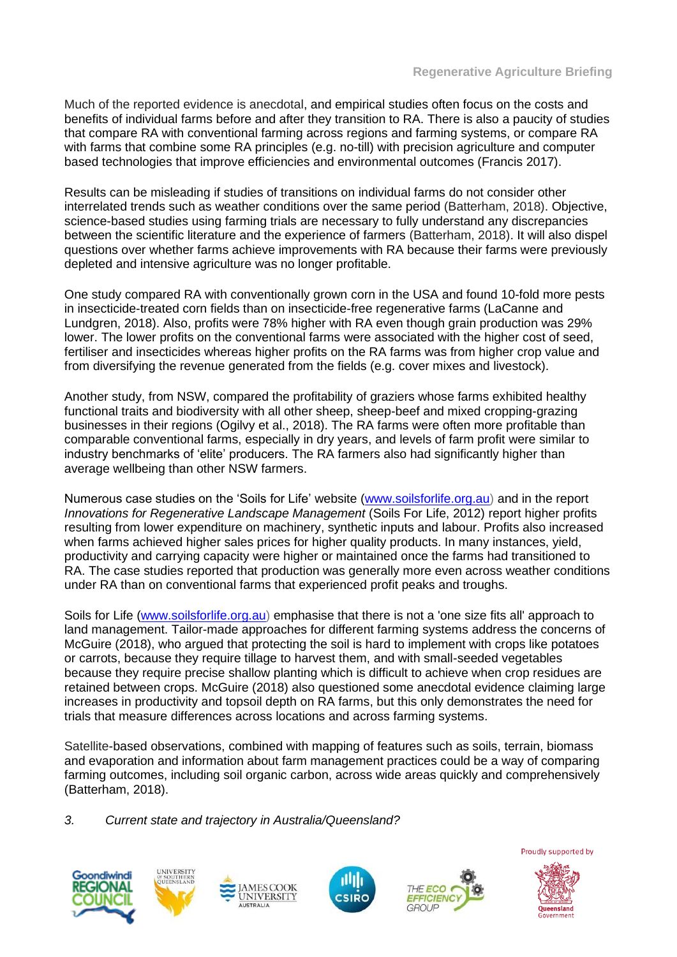Much of the reported evidence is anecdotal, and empirical studies often focus on the costs and benefits of individual farms before and after they transition to RA. There is also a paucity of studies that compare RA with conventional farming across regions and farming systems, or compare RA with farms that combine some RA principles (e.g. no-till) with precision agriculture and computer based technologies that improve efficiencies and environmental outcomes (Francis 2017).

Results can be misleading if studies of transitions on individual farms do not consider other interrelated trends such as weather conditions over the same period (Batterham, 2018). Objective, science-based studies using farming trials are necessary to fully understand any discrepancies between the scientific literature and the experience of farmers (Batterham, 2018). It will also dispel questions over whether farms achieve improvements with RA because their farms were previously depleted and intensive agriculture was no longer profitable.

One study compared RA with conventionally grown corn in the USA and found 10-fold more pests in insecticide-treated corn fields than on insecticide-free regenerative farms (LaCanne and Lundgren, 2018). Also, profits were 78% higher with RA even though grain production was 29% lower. The lower profits on the conventional farms were associated with the higher cost of seed, fertiliser and insecticides whereas higher profits on the RA farms was from higher crop value and from diversifying the revenue generated from the fields (e.g. cover mixes and livestock).

Another study, from NSW, compared the profitability of graziers whose farms exhibited healthy functional traits and biodiversity with all other sheep, sheep-beef and mixed cropping-grazing businesses in their regions (Ogilvy et al., 2018). The RA farms were often more profitable than comparable conventional farms, especially in dry years, and levels of farm profit were similar to industry benchmarks of 'elite' producers. The RA farmers also had significantly higher than average wellbeing than other NSW farmers.

Numerous case studies on the 'Soils for Life' website [\(www.soilsforlife.org.au\)](http://www.soilsforlife.org.au/) and in the report *Innovations for Regenerative Landscape Management* (Soils For Life, 2012) report higher profits resulting from lower expenditure on machinery, synthetic inputs and labour. Profits also increased when farms achieved higher sales prices for higher quality products. In many instances, yield, productivity and carrying capacity were higher or maintained once the farms had transitioned to RA. The case studies reported that production was generally more even across weather conditions under RA than on conventional farms that experienced profit peaks and troughs.

Soils for Life [\(www.soilsforlife.org.au\)](http://www.soilsforlife.org.au/) emphasise that there is not a 'one size fits all' approach to land management. Tailor-made approaches for different farming systems address the concerns of McGuire (2018), who argued that protecting the soil is hard to implement with crops like potatoes or carrots, because they require tillage to harvest them, and with small-seeded vegetables because they require precise shallow planting which is difficult to achieve when crop residues are retained between crops. McGuire (2018) also questioned some anecdotal evidence claiming large increases in productivity and topsoil depth on RA farms, but this only demonstrates the need for trials that measure differences across locations and across farming systems.

Satellite-based observations, combined with mapping of features such as soils, terrain, biomass and evaporation and information about farm management practices could be a way of comparing farming outcomes, including soil organic carbon, across wide areas quickly and comprehensively (Batterham, 2018).

*3. Current state and trajectory in Australia/Queensland?*











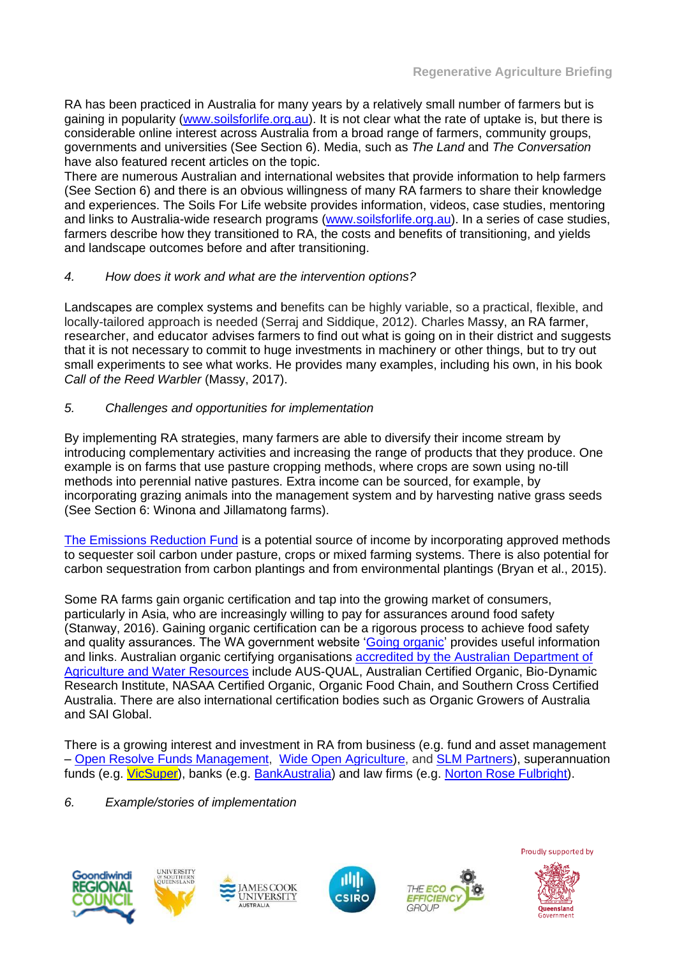RA has been practiced in Australia for many years by a relatively small number of farmers but is gaining in popularity [\(www.soilsforlife.org.au\)](http://www.soilsforlife.org.au/). It is not clear what the rate of uptake is, but there is considerable online interest across Australia from a broad range of farmers, community groups, governments and universities (See Section 6). Media, such as *The Land* and *The Conversation* have also featured recent articles on the topic.

There are numerous Australian and international websites that provide information to help farmers (See Section 6) and there is an obvious willingness of many RA farmers to share their knowledge and experiences. The Soils For Life website provides information, videos, case studies, mentoring and links to Australia-wide research programs [\(www.soilsforlife.org.au\)](http://www.soilsforlife.org.au/). In a series of case studies, farmers describe how they transitioned to RA, the costs and benefits of transitioning, and yields and landscape outcomes before and after transitioning.

#### *4. How does it work and what are the intervention options?*

Landscapes are complex systems and benefits can be highly variable, so a practical, flexible, and locally-tailored approach is needed (Serraj and Siddique, 2012). Charles Massy, an RA farmer, researcher, and educator advises farmers to find out what is going on in their district and suggests that it is not necessary to commit to huge investments in machinery or other things, but to try out small experiments to see what works. He provides many examples, including his own, in his book *Call of the Reed Warbler* (Massy, 2017).

#### *5. Challenges and opportunities for implementation*

By implementing RA strategies, many farmers are able to diversify their income stream by introducing complementary activities and increasing the range of products that they produce. One example is on farms that use pasture cropping methods, where crops are sown using no-till methods into perennial native pastures. Extra income can be sourced, for example, by incorporating grazing animals into the management system and by harvesting native grass seeds (See Section 6: Winona and Jillamatong farms).

[The Emissions Reduction Fund](https://www.environment.gov.au/climate-change/government/emissions-reduction-fund) is a potential source of income by incorporating approved methods to sequester soil carbon under pasture, crops or mixed farming systems. There is also potential for carbon sequestration from carbon plantings and from environmental plantings (Bryan et al., 2015).

Some RA farms gain organic certification and tap into the growing market of consumers, particularly in Asia, who are increasingly willing to pay for assurances around food safety (Stanway, 2016). Gaining organic certification can be a rigorous process to achieve food safety and quality assurances. The WA government website ['Going organic'](https://www.agric.wa.gov.au/small-landholders-western-australia/going-organic-what-you-need-know) provides useful information and links. Australian organic certifying organisations [accredited by the Australian Department of](http://www.agriculture.gov.au/about/contactus/phone/aco)  [Agriculture and Water Resources](http://www.agriculture.gov.au/about/contactus/phone/aco) include AUS-QUAL, Australian Certified Organic, Bio-Dynamic Research Institute, NASAA Certified Organic, Organic Food Chain, and Southern Cross Certified Australia. There are also international certification bodies such as Organic Growers of Australia and SAI Global.

There is a growing interest and investment in RA from business (e.g. fund and asset management – [Open Resolve Funds Management,](http://openresolve.com.au/) [Wide Open Agriculture,](http://www.wideopenagriculture.com.au/) and [SLM Partners\)](http://slmpartners.com/), superannuation funds (e.g. [VicSuper\)](https://www.vicsuper.com.au/about-us/news-and-media/archive/a-farming-revolution), banks (e.g. [BankAustralia\)](https://bankaust.com.au/about-us/news/planet/yass-farmers-leading-the-charge-for-project-drawdown/) and law firms (e.g. [Norton Rose Fulbright\)](https://www.nortonrosefulbright.com/en/knowledge/publications/f2cfcc38/regenerative-agriculture).

#### *6. Example/stories of implementation*











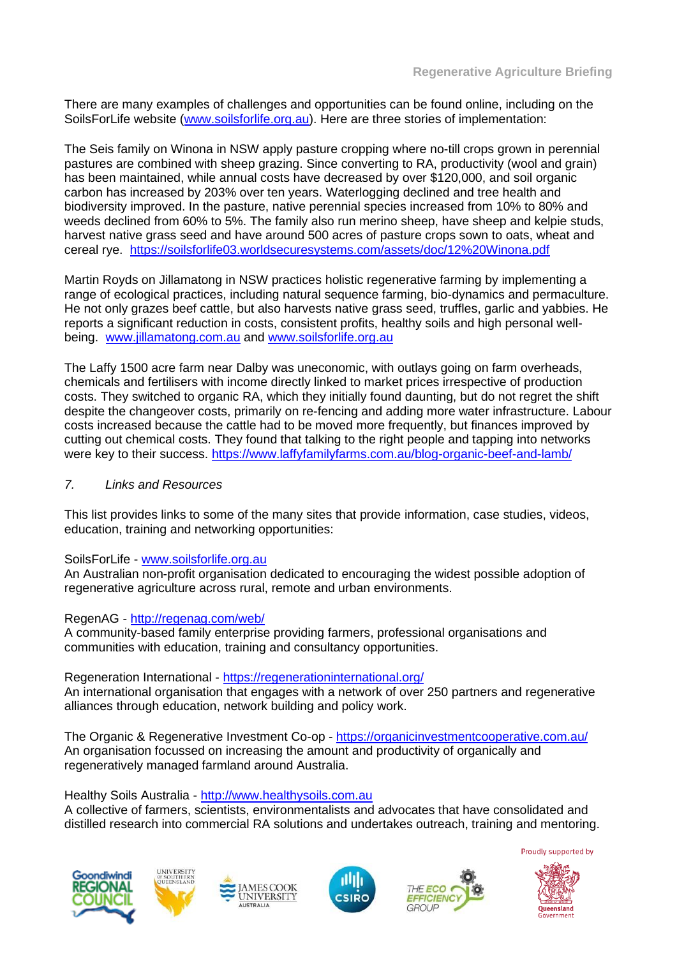There are many examples of challenges and opportunities can be found online, including on the SoilsForLife website [\(www.soilsforlife.org.au\)](http://www.soilsforlife.org.au/). Here are three stories of implementation:

The Seis family on Winona in NSW apply pasture cropping where no-till crops grown in perennial pastures are combined with sheep grazing. Since converting to RA, productivity (wool and grain) has been maintained, while annual costs have decreased by over \$120,000, and soil organic carbon has increased by 203% over ten years. Waterlogging declined and tree health and biodiversity improved. In the pasture, native perennial species increased from 10% to 80% and weeds declined from 60% to 5%. The family also run merino sheep, have sheep and kelpie studs, harvest native grass seed and have around 500 acres of pasture crops sown to oats, wheat and cereal rye. <https://soilsforlife03.worldsecuresystems.com/assets/doc/12%20Winona.pdf>

Martin Royds on Jillamatong in NSW practices holistic regenerative farming by implementing a range of ecological practices, including natural sequence farming, bio-dynamics and permaculture. He not only grazes beef cattle, but also harvests native grass seed, truffles, garlic and yabbies. He reports a significant reduction in costs, consistent profits, healthy soils and high personal wellbeing. [www.jillamatong.com.au](http://www.jillamatong.com.au/) and [www.soilsforlife.org.au](http://www.soilsforlife.org.au/)

The Laffy 1500 acre farm near Dalby was uneconomic, with outlays going on farm overheads, chemicals and fertilisers with income directly linked to market prices irrespective of production costs. They switched to organic RA, which they initially found daunting, but do not regret the shift despite the changeover costs, primarily on re-fencing and adding more water infrastructure. Labour costs increased because the cattle had to be moved more frequently, but finances improved by cutting out chemical costs. They found that talking to the right people and tapping into networks were key to their success.<https://www.laffyfamilyfarms.com.au/blog-organic-beef-and-lamb/>

#### *7. Links and Resources*

This list provides links to some of the many sites that provide information, case studies, videos, education, training and networking opportunities:

#### SoilsForLife - [www.soilsforlife.org.au](http://www.soilsforlife.org.au/)

An Australian non-profit organisation dedicated to encouraging the widest possible adoption of regenerative agriculture across rural, remote and urban environments.

#### RegenAG - <http://regenag.com/web/>

A community-based family enterprise providing farmers, professional organisations and communities with education, training and consultancy opportunities.

Regeneration International - <https://regenerationinternational.org/> An international organisation that engages with a network of over 250 partners and regenerative alliances through education, network building and policy work.

The Organic & Regenerative Investment Co-op - <https://organicinvestmentcooperative.com.au/> An organisation focussed on increasing the amount and productivity of organically and regeneratively managed farmland around Australia.

Healthy Soils Australia - [http://www.healthysoils.com.au](http://www.healthysoils.com.au/)

A collective of farmers, scientists, environmentalists and advocates that have consolidated and distilled research into commercial RA solutions and undertakes outreach, training and mentoring.











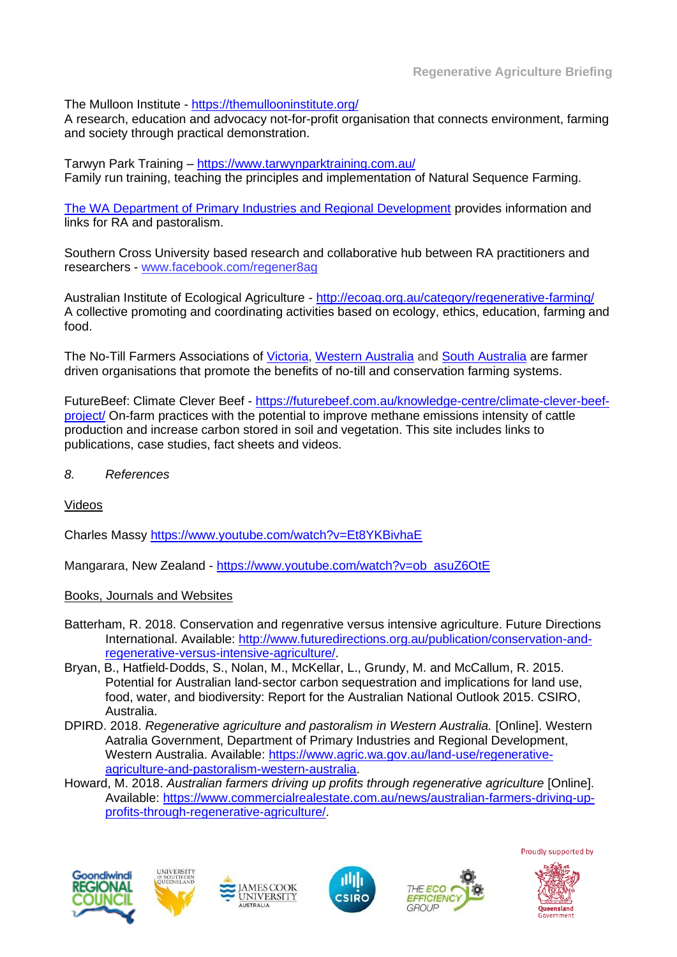The Mulloon Institute - <https://themullooninstitute.org/>

A research, education and advocacy not-for-profit organisation that connects environment, farming and society through practical demonstration.

Tarwyn Park Training – <https://www.tarwynparktraining.com.au/> Family run training, teaching the principles and implementation of Natural Sequence Farming.

[The WA Department of Primary Industries and Regional Development](https://www.agric.wa.gov.au/land-use/regenerative-agriculture-and-pastoralism-western-australia) provides information and links for RA and pastoralism.

Southern Cross University based research and collaborative hub between RA practitioners and researchers - [www.facebook.com/regener8ag](http://www.facebook.com/regener8ag)

Australian Institute of Ecological Agriculture - <http://ecoag.org.au/category/regenerative-farming/> A collective promoting and coordinating activities based on ecology, ethics, education, farming and food.

The No-Till Farmers Associations of [Victoria,](https://www.vicnotill.com.au/) Western Australia and South Australia are farmer driven organisations that promote the benefits of no-till and conservation farming systems.

FutureBeef: Climate Clever Beef - [https://futurebeef.com.au/knowledge-centre/climate-clever-beef](https://futurebeef.com.au/knowledge-centre/climate-clever-beef-project/)[project/](https://futurebeef.com.au/knowledge-centre/climate-clever-beef-project/) On-farm practices with the potential to improve methane emissions intensity of cattle production and increase carbon stored in soil and vegetation. This site includes links to publications, case studies, fact sheets and videos.

*8. References* 

Videos

Charles Massy <https://www.youtube.com/watch?v=Et8YKBivhaE>

Mangarara, New Zealand - [https://www.youtube.com/watch?v=ob\\_asuZ6OtE](https://www.youtube.com/watch?v=ob_asuZ6OtE)

Books, Journals and Websites

- Batterham, R. 2018. Conservation and regenrative versus intensive agriculture. Future Directions International. Available: [http://www.futuredirections.org.au/publication/conservation-and](http://www.futuredirections.org.au/publication/conservation-and-regenerative-versus-intensive-agriculture/)[regenerative-versus-intensive-agriculture/.](http://www.futuredirections.org.au/publication/conservation-and-regenerative-versus-intensive-agriculture/)
- Bryan, B., Hatfield‐Dodds, S., Nolan, M., McKellar, L., Grundy, M. and McCallum, R. 2015. Potential for Australian land‐sector carbon sequestration and implications for land use, food, water, and biodiversity: Report for the Australian National Outlook 2015. CSIRO, Australia.
- DPIRD. 2018. *Regenerative agriculture and pastoralism in Western Australia.* [Online]. Western Aatralia Government, Department of Primary Industries and Regional Development, Western Australia. Available: [https://www.agric.wa.gov.au/land-use/regenerative](https://www.agric.wa.gov.au/land-use/regenerative-agriculture-and-pastoralism-western-australia)[agriculture-and-pastoralism-western-australia.](https://www.agric.wa.gov.au/land-use/regenerative-agriculture-and-pastoralism-western-australia)
- Howard, M. 2018. *Australian farmers driving up profits through regenerative agriculture* [Online]. Available: [https://www.commercialrealestate.com.au/news/australian-farmers-driving-up](https://www.commercialrealestate.com.au/news/australian-farmers-driving-up-profits-through-regenerative-agriculture/)[profits-through-regenerative-agriculture/.](https://www.commercialrealestate.com.au/news/australian-farmers-driving-up-profits-through-regenerative-agriculture/)